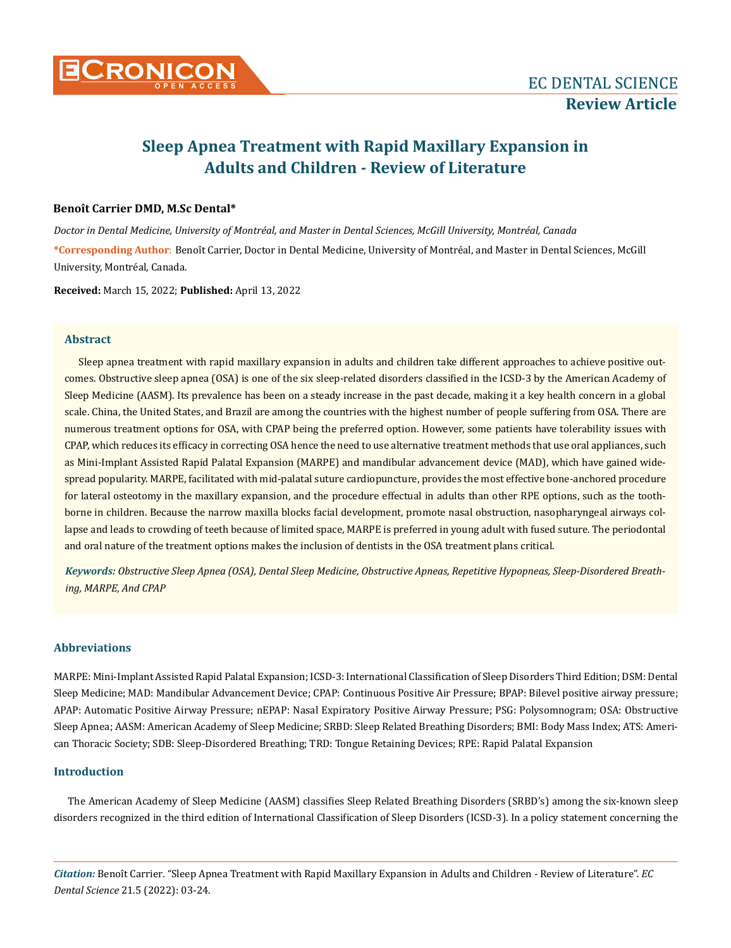

# **Sleep Apnea Treatment with Rapid Maxillary Expansion in Adults and Children - Review of Literature**

# **Benoît Carrier DMD, M.Sc Dental\***

*Doctor in Dental Medicine, University of Montréal, and Master in Dental Sciences, McGill University, Montréal, Canada* **\*Corresponding Author**: Benoît Carrier, Doctor in Dental Medicine, University of Montréal, and Master in Dental Sciences, McGill University, Montréal, Canada.

**Received:** March 15, 2022; **Published:** April 13, 2022

# **Abstract**

Sleep apnea treatment with rapid maxillary expansion in adults and children take different approaches to achieve positive outcomes. Obstructive sleep apnea (OSA) is one of the six sleep-related disorders classified in the ICSD-3 by the American Academy of Sleep Medicine (AASM). Its prevalence has been on a steady increase in the past decade, making it a key health concern in a global scale. China, the United States, and Brazil are among the countries with the highest number of people suffering from OSA. There are numerous treatment options for OSA, with CPAP being the preferred option. However, some patients have tolerability issues with CPAP, which reduces its efficacy in correcting OSA hence the need to use alternative treatment methods that use oral appliances, such as Mini-Implant Assisted Rapid Palatal Expansion (MARPE) and mandibular advancement device (MAD), which have gained widespread popularity. MARPE, facilitated with mid-palatal suture cardiopuncture, provides the most effective bone-anchored procedure for lateral osteotomy in the maxillary expansion, and the procedure effectual in adults than other RPE options, such as the toothborne in children. Because the narrow maxilla blocks facial development, promote nasal obstruction, nasopharyngeal airways collapse and leads to crowding of teeth because of limited space, MARPE is preferred in young adult with fused suture. The periodontal and oral nature of the treatment options makes the inclusion of dentists in the OSA treatment plans critical.

*Keywords: Obstructive Sleep Apnea (OSA), Dental Sleep Medicine, Obstructive Apneas, Repetitive Hypopneas, Sleep-Disordered Breathing, MARPE, And CPAP*

# **Abbreviations**

MARPE: Mini-Implant Assisted Rapid Palatal Expansion; ICSD-3: International Classification of Sleep Disorders Third Edition; DSM: Dental Sleep Medicine; MAD: Mandibular Advancement Device; CPAP: Continuous Positive Air Pressure; BPAP: Bilevel positive airway pressure; APAP: Automatic Positive Airway Pressure; nEPAP: Nasal Expiratory Positive Airway Pressure; PSG: Polysomnogram; OSA: Obstructive Sleep Apnea; AASM: American Academy of Sleep Medicine; SRBD: Sleep Related Breathing Disorders; BMI: Body Mass Index; ATS: American Thoracic Society; SDB: Sleep-Disordered Breathing; TRD: Tongue Retaining Devices; RPE: Rapid Palatal Expansion

# **Introduction**

The American Academy of Sleep Medicine (AASM) classifies Sleep Related Breathing Disorders (SRBD's) among the six-known sleep disorders recognized in the third edition of International Classification of Sleep Disorders (ICSD-3). In a policy statement concerning the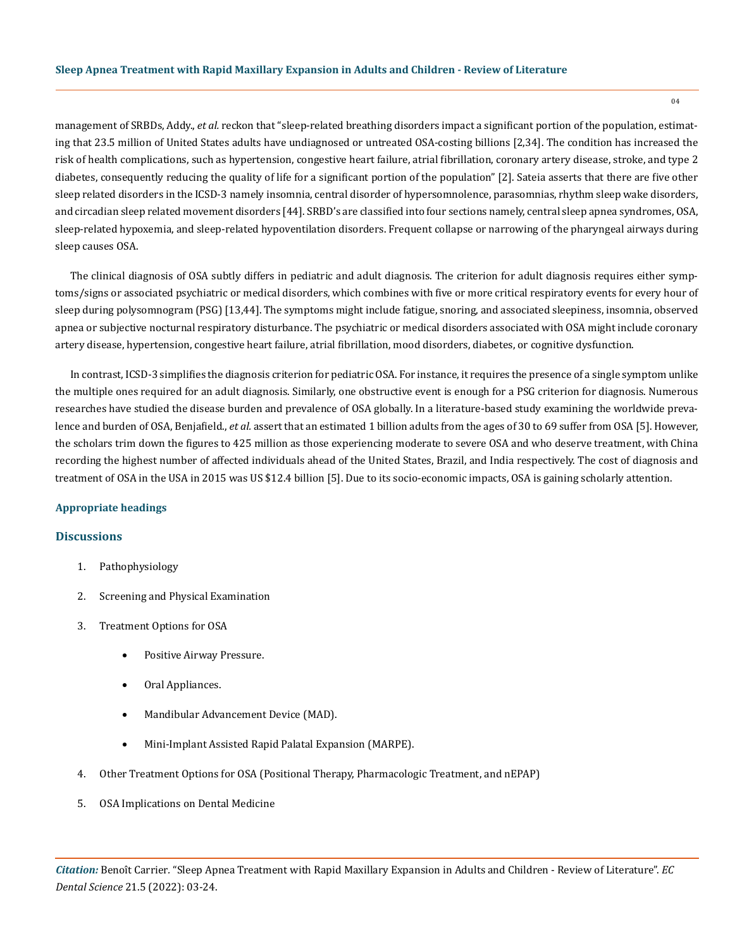management of SRBDs, Addy., *et al.* reckon that "sleep-related breathing disorders impact a significant portion of the population, estimating that 23.5 million of United States adults have undiagnosed or untreated OSA-costing billions [2,34]. The condition has increased the risk of health complications, such as hypertension, congestive heart failure, atrial fibrillation, coronary artery disease, stroke, and type 2 diabetes, consequently reducing the quality of life for a significant portion of the population" [2]. Sateia asserts that there are five other sleep related disorders in the ICSD-3 namely insomnia, central disorder of hypersomnolence, parasomnias, rhythm sleep wake disorders, and circadian sleep related movement disorders [44]. SRBD's are classified into four sections namely, central sleep apnea syndromes, OSA, sleep-related hypoxemia, and sleep-related hypoventilation disorders. Frequent collapse or narrowing of the pharyngeal airways during sleep causes OSA.

The clinical diagnosis of OSA subtly differs in pediatric and adult diagnosis. The criterion for adult diagnosis requires either symptoms/signs or associated psychiatric or medical disorders, which combines with five or more critical respiratory events for every hour of sleep during polysomnogram (PSG) [13,44]. The symptoms might include fatigue, snoring, and associated sleepiness, insomnia, observed apnea or subjective nocturnal respiratory disturbance. The psychiatric or medical disorders associated with OSA might include coronary artery disease, hypertension, congestive heart failure, atrial fibrillation, mood disorders, diabetes, or cognitive dysfunction.

In contrast, ICSD-3 simplifies the diagnosis criterion for pediatric OSA. For instance, it requires the presence of a single symptom unlike the multiple ones required for an adult diagnosis. Similarly, one obstructive event is enough for a PSG criterion for diagnosis. Numerous researches have studied the disease burden and prevalence of OSA globally. In a literature-based study examining the worldwide prevalence and burden of OSA, Benjafield., *et al.* assert that an estimated 1 billion adults from the ages of 30 to 69 suffer from OSA [5]. However, the scholars trim down the figures to 425 million as those experiencing moderate to severe OSA and who deserve treatment, with China recording the highest number of affected individuals ahead of the United States, Brazil, and India respectively. The cost of diagnosis and treatment of OSA in the USA in 2015 was US \$12.4 billion [5]. Due to its socio-economic impacts, OSA is gaining scholarly attention.

## **Appropriate headings**

## **Discussions**

- 1. Pathophysiology
- 2. Screening and Physical Examination
- 3. Treatment Options for OSA
	- Positive Airway Pressure.
	- Oral Appliances.
	- Mandibular Advancement Device (MAD).
	- • Mini-Implant Assisted Rapid Palatal Expansion (MARPE).
- 4. Other Treatment Options for OSA (Positional Therapy, Pharmacologic Treatment, and nEPAP)
- 5. OSA Implications on Dental Medicine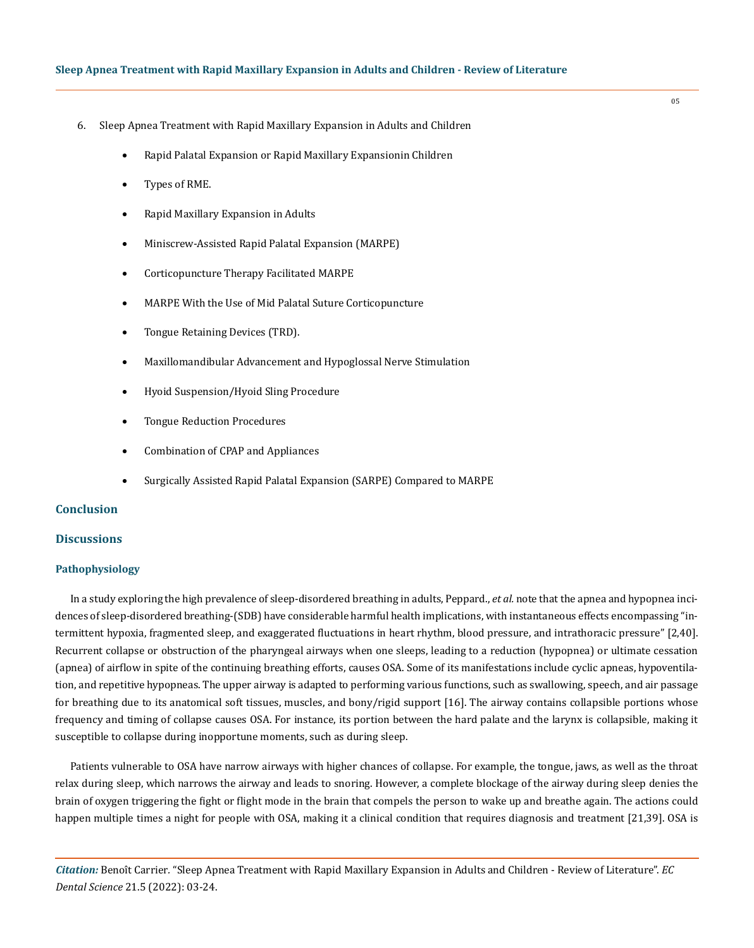- 6. Sleep Apnea Treatment with Rapid Maxillary Expansion in Adults and Children
	- Rapid Palatal Expansion or Rapid Maxillary Expansionin Children
	- Types of RME.
	- Rapid Maxillary Expansion in Adults
	- Miniscrew-Assisted Rapid Palatal Expansion (MARPE)
	- Corticopuncture Therapy Facilitated MARPE
	- MARPE With the Use of Mid Palatal Suture Corticopuncture
	- Tongue Retaining Devices (TRD).
	- Maxillomandibular Advancement and Hypoglossal Nerve Stimulation
	- Hyoid Suspension/Hyoid Sling Procedure
	- Tongue Reduction Procedures
	- Combination of CPAP and Appliances
	- Surgically Assisted Rapid Palatal Expansion (SARPE) Compared to MARPE

# **Conclusion**

# **Discussions**

#### **Pathophysiology**

In a study exploring the high prevalence of sleep-disordered breathing in adults, Peppard., *et al.* note that the apnea and hypopnea incidences of sleep-disordered breathing-(SDB) have considerable harmful health implications, with instantaneous effects encompassing "intermittent hypoxia, fragmented sleep, and exaggerated fluctuations in heart rhythm, blood pressure, and intrathoracic pressure" [2,40]. Recurrent collapse or obstruction of the pharyngeal airways when one sleeps, leading to a reduction (hypopnea) or ultimate cessation (apnea) of airflow in spite of the continuing breathing efforts, causes OSA. Some of its manifestations include cyclic apneas, hypoventilation, and repetitive hypopneas. The upper airway is adapted to performing various functions, such as swallowing, speech, and air passage for breathing due to its anatomical soft tissues, muscles, and bony/rigid support [16]. The airway contains collapsible portions whose frequency and timing of collapse causes OSA. For instance, its portion between the hard palate and the larynx is collapsible, making it susceptible to collapse during inopportune moments, such as during sleep.

Patients vulnerable to OSA have narrow airways with higher chances of collapse. For example, the tongue, jaws, as well as the throat relax during sleep, which narrows the airway and leads to snoring. However, a complete blockage of the airway during sleep denies the brain of oxygen triggering the fight or flight mode in the brain that compels the person to wake up and breathe again. The actions could happen multiple times a night for people with OSA, making it a clinical condition that requires diagnosis and treatment [21,39]. OSA is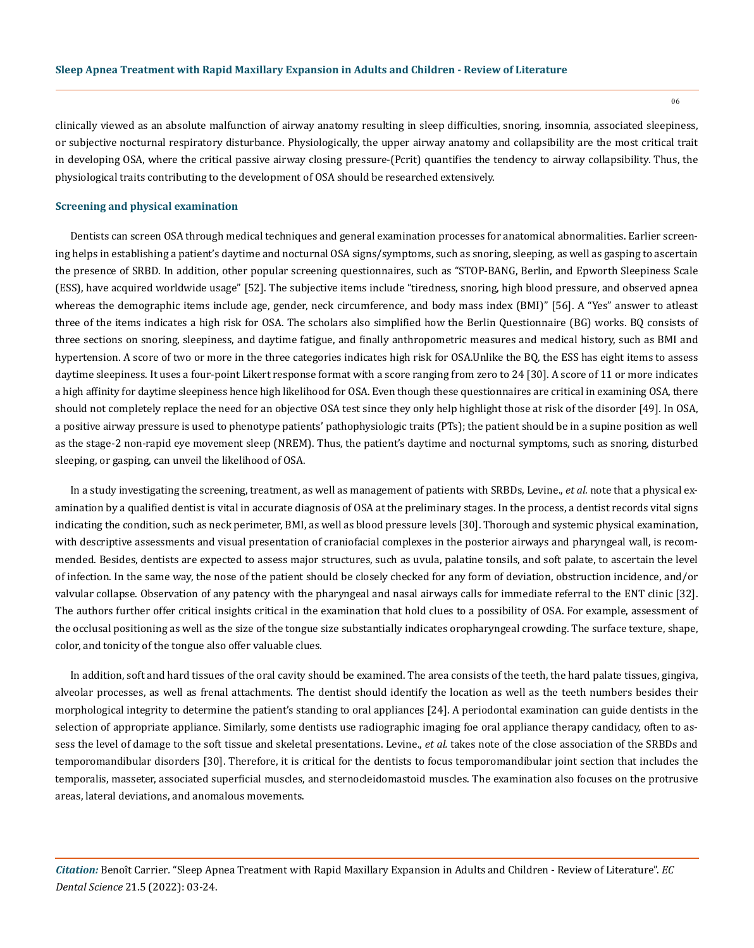06

clinically viewed as an absolute malfunction of airway anatomy resulting in sleep difficulties, snoring, insomnia, associated sleepiness, or subjective nocturnal respiratory disturbance. Physiologically, the upper airway anatomy and collapsibility are the most critical trait in developing OSA, where the critical passive airway closing pressure-(Pcrit) quantifies the tendency to airway collapsibility. Thus, the physiological traits contributing to the development of OSA should be researched extensively.

#### **Screening and physical examination**

Dentists can screen OSA through medical techniques and general examination processes for anatomical abnormalities. Earlier screening helps in establishing a patient's daytime and nocturnal OSA signs/symptoms, such as snoring, sleeping, as well as gasping to ascertain the presence of SRBD. In addition, other popular screening questionnaires, such as "STOP-BANG, Berlin, and Epworth Sleepiness Scale (ESS), have acquired worldwide usage" [52]. The subjective items include "tiredness, snoring, high blood pressure, and observed apnea whereas the demographic items include age, gender, neck circumference, and body mass index (BMI)" [56]. A "Yes" answer to atleast three of the items indicates a high risk for OSA. The scholars also simplified how the Berlin Questionnaire (BG) works. BQ consists of three sections on snoring, sleepiness, and daytime fatigue, and finally anthropometric measures and medical history, such as BMI and hypertension. A score of two or more in the three categories indicates high risk for OSA.Unlike the BQ, the ESS has eight items to assess daytime sleepiness. It uses a four-point Likert response format with a score ranging from zero to 24 [30]. A score of 11 or more indicates a high affinity for daytime sleepiness hence high likelihood for OSA. Even though these questionnaires are critical in examining OSA, there should not completely replace the need for an objective OSA test since they only help highlight those at risk of the disorder [49]. In OSA, a positive airway pressure is used to phenotype patients' pathophysiologic traits (PTs); the patient should be in a supine position as well as the stage-2 non-rapid eye movement sleep (NREM). Thus, the patient's daytime and nocturnal symptoms, such as snoring, disturbed sleeping, or gasping, can unveil the likelihood of OSA.

In a study investigating the screening, treatment, as well as management of patients with SRBDs, Levine., *et al.* note that a physical examination by a qualified dentist is vital in accurate diagnosis of OSA at the preliminary stages. In the process, a dentist records vital signs indicating the condition, such as neck perimeter, BMI, as well as blood pressure levels [30]. Thorough and systemic physical examination, with descriptive assessments and visual presentation of craniofacial complexes in the posterior airways and pharyngeal wall, is recommended. Besides, dentists are expected to assess major structures, such as uvula, palatine tonsils, and soft palate, to ascertain the level of infection. In the same way, the nose of the patient should be closely checked for any form of deviation, obstruction incidence, and/or valvular collapse. Observation of any patency with the pharyngeal and nasal airways calls for immediate referral to the ENT clinic [32]. The authors further offer critical insights critical in the examination that hold clues to a possibility of OSA. For example, assessment of the occlusal positioning as well as the size of the tongue size substantially indicates oropharyngeal crowding. The surface texture, shape, color, and tonicity of the tongue also offer valuable clues.

In addition, soft and hard tissues of the oral cavity should be examined. The area consists of the teeth, the hard palate tissues, gingiva, alveolar processes, as well as frenal attachments. The dentist should identify the location as well as the teeth numbers besides their morphological integrity to determine the patient's standing to oral appliances [24]. A periodontal examination can guide dentists in the selection of appropriate appliance. Similarly, some dentists use radiographic imaging foe oral appliance therapy candidacy, often to assess the level of damage to the soft tissue and skeletal presentations. Levine., *et al.* takes note of the close association of the SRBDs and temporomandibular disorders [30]. Therefore, it is critical for the dentists to focus temporomandibular joint section that includes the temporalis, masseter, associated superficial muscles, and sternocleidomastoid muscles. The examination also focuses on the protrusive areas, lateral deviations, and anomalous movements.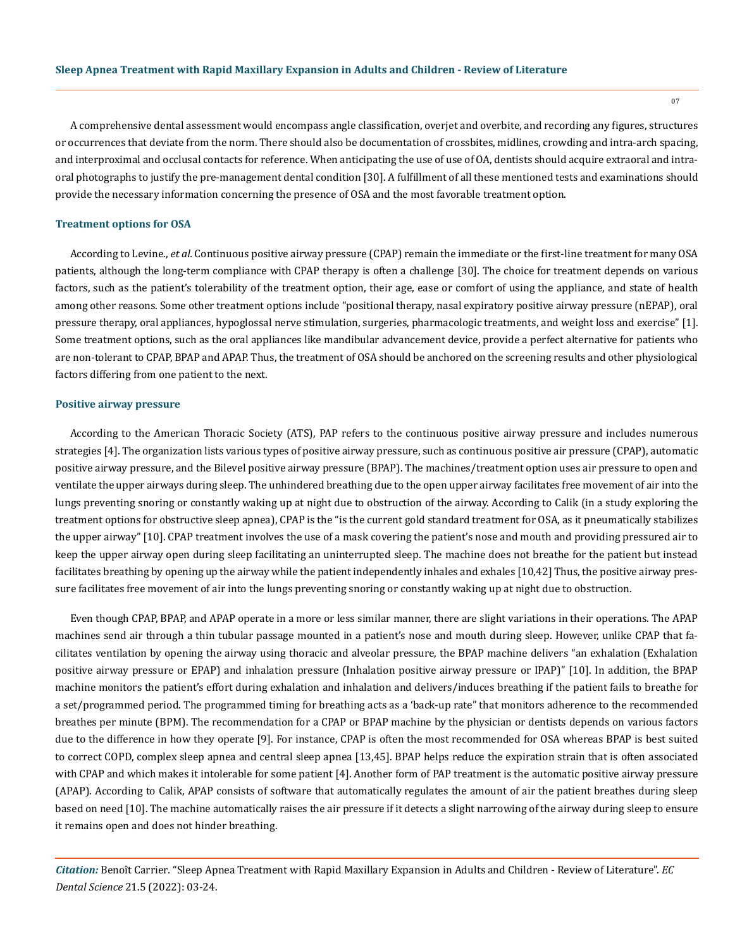A comprehensive dental assessment would encompass angle classification, overjet and overbite, and recording any figures, structures or occurrences that deviate from the norm. There should also be documentation of crossbites, midlines, crowding and intra-arch spacing, and interproximal and occlusal contacts for reference. When anticipating the use of use of OA, dentists should acquire extraoral and intraoral photographs to justify the pre-management dental condition [30]. A fulfillment of all these mentioned tests and examinations should provide the necessary information concerning the presence of OSA and the most favorable treatment option.

#### **Treatment options for OSA**

According to Levine., *et al.* Continuous positive airway pressure (CPAP) remain the immediate or the first-line treatment for many OSA patients, although the long-term compliance with CPAP therapy is often a challenge [30]. The choice for treatment depends on various factors, such as the patient's tolerability of the treatment option, their age, ease or comfort of using the appliance, and state of health among other reasons. Some other treatment options include "positional therapy, nasal expiratory positive airway pressure (nEPAP), oral pressure therapy, oral appliances, hypoglossal nerve stimulation, surgeries, pharmacologic treatments, and weight loss and exercise" [1]. Some treatment options, such as the oral appliances like mandibular advancement device, provide a perfect alternative for patients who are non-tolerant to CPAP, BPAP and APAP. Thus, the treatment of OSA should be anchored on the screening results and other physiological factors differing from one patient to the next.

#### **Positive airway pressure**

According to the American Thoracic Society (ATS), PAP refers to the continuous positive airway pressure and includes numerous strategies [4]. The organization lists various types of positive airway pressure, such as continuous positive air pressure (CPAP), automatic positive airway pressure, and the Bilevel positive airway pressure (BPAP). The machines/treatment option uses air pressure to open and ventilate the upper airways during sleep. The unhindered breathing due to the open upper airway facilitates free movement of air into the lungs preventing snoring or constantly waking up at night due to obstruction of the airway. According to Calik (in a study exploring the treatment options for obstructive sleep apnea), CPAP is the "is the current gold standard treatment for OSA, as it pneumatically stabilizes the upper airway" [10]. CPAP treatment involves the use of a mask covering the patient's nose and mouth and providing pressured air to keep the upper airway open during sleep facilitating an uninterrupted sleep. The machine does not breathe for the patient but instead facilitates breathing by opening up the airway while the patient independently inhales and exhales [10,42] Thus, the positive airway pressure facilitates free movement of air into the lungs preventing snoring or constantly waking up at night due to obstruction.

Even though CPAP, BPAP, and APAP operate in a more or less similar manner, there are slight variations in their operations. The APAP machines send air through a thin tubular passage mounted in a patient's nose and mouth during sleep. However, unlike CPAP that facilitates ventilation by opening the airway using thoracic and alveolar pressure, the BPAP machine delivers "an exhalation (Exhalation positive airway pressure or EPAP) and inhalation pressure (Inhalation positive airway pressure or IPAP)" [10]. In addition, the BPAP machine monitors the patient's effort during exhalation and inhalation and delivers/induces breathing if the patient fails to breathe for a set/programmed period. The programmed timing for breathing acts as a 'back-up rate" that monitors adherence to the recommended breathes per minute (BPM). The recommendation for a CPAP or BPAP machine by the physician or dentists depends on various factors due to the difference in how they operate [9]. For instance, CPAP is often the most recommended for OSA whereas BPAP is best suited to correct COPD, complex sleep apnea and central sleep apnea [13,45]. BPAP helps reduce the expiration strain that is often associated with CPAP and which makes it intolerable for some patient [4]. Another form of PAP treatment is the automatic positive airway pressure (APAP). According to Calik, APAP consists of software that automatically regulates the amount of air the patient breathes during sleep based on need [10]. The machine automatically raises the air pressure if it detects a slight narrowing of the airway during sleep to ensure it remains open and does not hinder breathing.

*Citation:* Benoît Carrier*.* "Sleep Apnea Treatment with Rapid Maxillary Expansion in Adults and Children - Review of Literature". *EC Dental Science* 21.5 (2022): 03-24.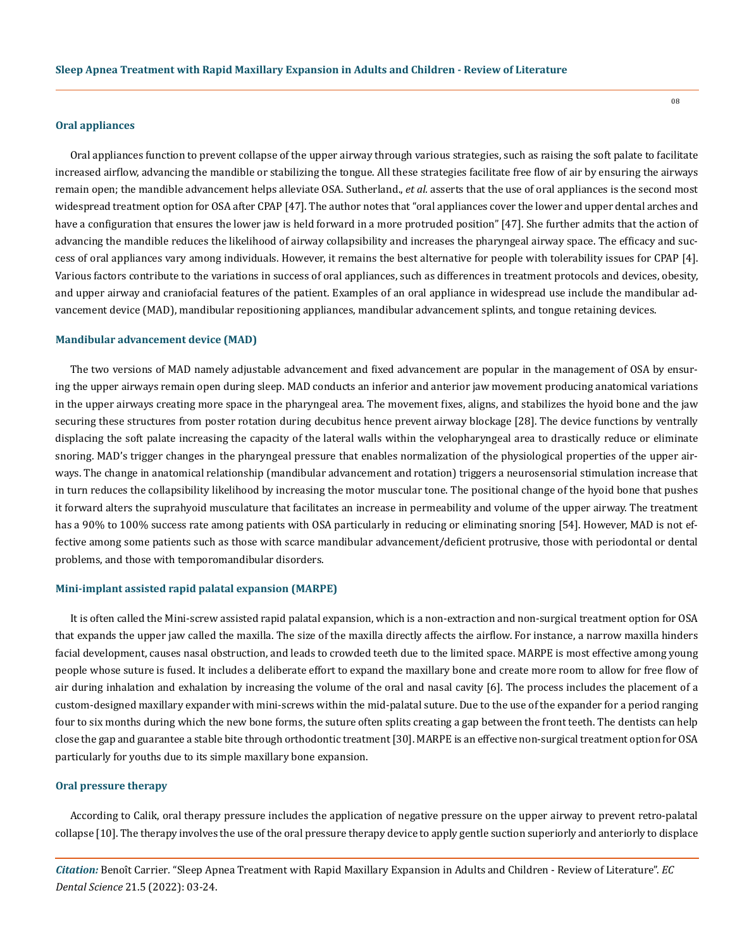## **Oral appliances**

Oral appliances function to prevent collapse of the upper airway through various strategies, such as raising the soft palate to facilitate increased airflow, advancing the mandible or stabilizing the tongue. All these strategies facilitate free flow of air by ensuring the airways remain open; the mandible advancement helps alleviate OSA. Sutherland., *et al.* asserts that the use of oral appliances is the second most widespread treatment option for OSA after CPAP [47]. The author notes that "oral appliances cover the lower and upper dental arches and have a configuration that ensures the lower jaw is held forward in a more protruded position" [47]. She further admits that the action of advancing the mandible reduces the likelihood of airway collapsibility and increases the pharyngeal airway space. The efficacy and success of oral appliances vary among individuals. However, it remains the best alternative for people with tolerability issues for CPAP [4]. Various factors contribute to the variations in success of oral appliances, such as differences in treatment protocols and devices, obesity, and upper airway and craniofacial features of the patient. Examples of an oral appliance in widespread use include the mandibular advancement device (MAD), mandibular repositioning appliances, mandibular advancement splints, and tongue retaining devices.

#### **Mandibular advancement device (MAD)**

The two versions of MAD namely adjustable advancement and fixed advancement are popular in the management of OSA by ensuring the upper airways remain open during sleep. MAD conducts an inferior and anterior jaw movement producing anatomical variations in the upper airways creating more space in the pharyngeal area. The movement fixes, aligns, and stabilizes the hyoid bone and the jaw securing these structures from poster rotation during decubitus hence prevent airway blockage [28]. The device functions by ventrally displacing the soft palate increasing the capacity of the lateral walls within the velopharyngeal area to drastically reduce or eliminate snoring. MAD's trigger changes in the pharyngeal pressure that enables normalization of the physiological properties of the upper airways. The change in anatomical relationship (mandibular advancement and rotation) triggers a neurosensorial stimulation increase that in turn reduces the collapsibility likelihood by increasing the motor muscular tone. The positional change of the hyoid bone that pushes it forward alters the suprahyoid musculature that facilitates an increase in permeability and volume of the upper airway. The treatment has a 90% to 100% success rate among patients with OSA particularly in reducing or eliminating snoring [54]. However, MAD is not effective among some patients such as those with scarce mandibular advancement/deficient protrusive, those with periodontal or dental problems, and those with temporomandibular disorders.

## **Mini-implant assisted rapid palatal expansion (MARPE)**

It is often called the Mini-screw assisted rapid palatal expansion, which is a non-extraction and non-surgical treatment option for OSA that expands the upper jaw called the maxilla. The size of the maxilla directly affects the airflow. For instance, a narrow maxilla hinders facial development, causes nasal obstruction, and leads to crowded teeth due to the limited space. MARPE is most effective among young people whose suture is fused. It includes a deliberate effort to expand the maxillary bone and create more room to allow for free flow of air during inhalation and exhalation by increasing the volume of the oral and nasal cavity [6]. The process includes the placement of a custom-designed maxillary expander with mini-screws within the mid-palatal suture. Due to the use of the expander for a period ranging four to six months during which the new bone forms, the suture often splits creating a gap between the front teeth. The dentists can help close the gap and guarantee a stable bite through orthodontic treatment [30]. MARPE is an effective non-surgical treatment option for OSA particularly for youths due to its simple maxillary bone expansion.

#### **Oral pressure therapy**

According to Calik, oral therapy pressure includes the application of negative pressure on the upper airway to prevent retro-palatal collapse [10]. The therapy involves the use of the oral pressure therapy device to apply gentle suction superiorly and anteriorly to displace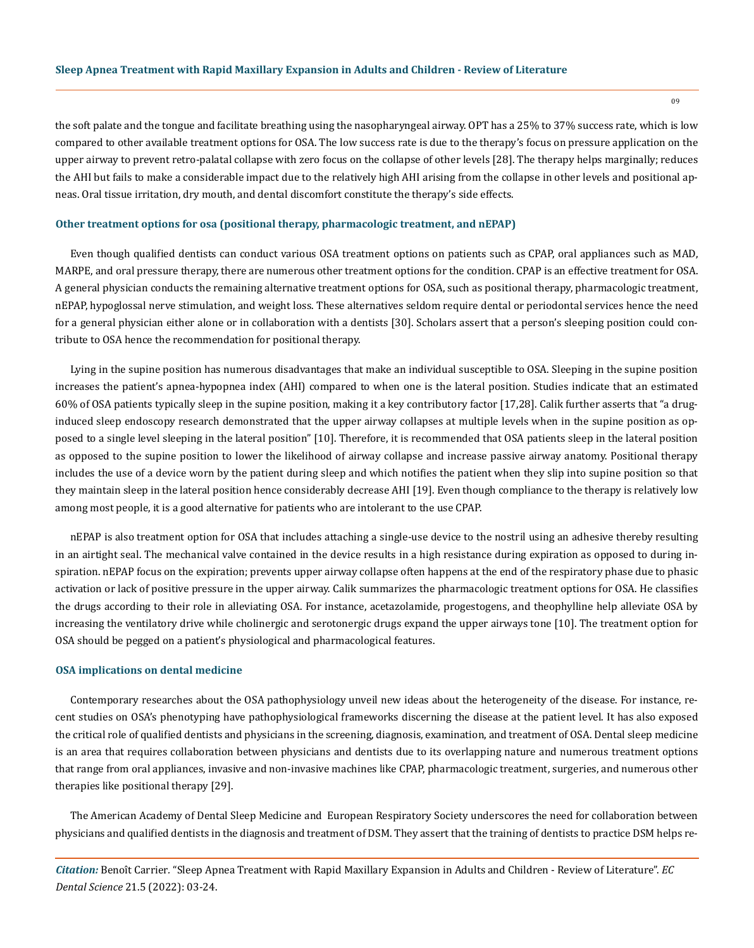the soft palate and the tongue and facilitate breathing using the nasopharyngeal airway. OPT has a 25% to 37% success rate, which is low compared to other available treatment options for OSA. The low success rate is due to the therapy's focus on pressure application on the upper airway to prevent retro-palatal collapse with zero focus on the collapse of other levels [28]. The therapy helps marginally; reduces the AHI but fails to make a considerable impact due to the relatively high AHI arising from the collapse in other levels and positional apneas. Oral tissue irritation, dry mouth, and dental discomfort constitute the therapy's side effects.

#### **Other treatment options for osa (positional therapy, pharmacologic treatment, and nEPAP)**

Even though qualified dentists can conduct various OSA treatment options on patients such as CPAP, oral appliances such as MAD, MARPE, and oral pressure therapy, there are numerous other treatment options for the condition. CPAP is an effective treatment for OSA. A general physician conducts the remaining alternative treatment options for OSA, such as positional therapy, pharmacologic treatment, nEPAP, hypoglossal nerve stimulation, and weight loss. These alternatives seldom require dental or periodontal services hence the need for a general physician either alone or in collaboration with a dentists [30]. Scholars assert that a person's sleeping position could contribute to OSA hence the recommendation for positional therapy.

Lying in the supine position has numerous disadvantages that make an individual susceptible to OSA. Sleeping in the supine position increases the patient's apnea-hypopnea index (AHI) compared to when one is the lateral position. Studies indicate that an estimated 60% of OSA patients typically sleep in the supine position, making it a key contributory factor [17,28]. Calik further asserts that "a druginduced sleep endoscopy research demonstrated that the upper airway collapses at multiple levels when in the supine position as opposed to a single level sleeping in the lateral position" [10]. Therefore, it is recommended that OSA patients sleep in the lateral position as opposed to the supine position to lower the likelihood of airway collapse and increase passive airway anatomy. Positional therapy includes the use of a device worn by the patient during sleep and which notifies the patient when they slip into supine position so that they maintain sleep in the lateral position hence considerably decrease AHI [19]. Even though compliance to the therapy is relatively low among most people, it is a good alternative for patients who are intolerant to the use CPAP.

nEPAP is also treatment option for OSA that includes attaching a single-use device to the nostril using an adhesive thereby resulting in an airtight seal. The mechanical valve contained in the device results in a high resistance during expiration as opposed to during inspiration. nEPAP focus on the expiration; prevents upper airway collapse often happens at the end of the respiratory phase due to phasic activation or lack of positive pressure in the upper airway. Calik summarizes the pharmacologic treatment options for OSA. He classifies the drugs according to their role in alleviating OSA. For instance, acetazolamide, progestogens, and theophylline help alleviate OSA by increasing the ventilatory drive while cholinergic and serotonergic drugs expand the upper airways tone [10]. The treatment option for OSA should be pegged on a patient's physiological and pharmacological features.

## **OSA implications on dental medicine**

Contemporary researches about the OSA pathophysiology unveil new ideas about the heterogeneity of the disease. For instance, recent studies on OSA's phenotyping have pathophysiological frameworks discerning the disease at the patient level. It has also exposed the critical role of qualified dentists and physicians in the screening, diagnosis, examination, and treatment of OSA. Dental sleep medicine is an area that requires collaboration between physicians and dentists due to its overlapping nature and numerous treatment options that range from oral appliances, invasive and non-invasive machines like CPAP, pharmacologic treatment, surgeries, and numerous other therapies like positional therapy [29].

The American Academy of Dental Sleep Medicine and European Respiratory Society underscores the need for collaboration between physicians and qualified dentists in the diagnosis and treatment of DSM. They assert that the training of dentists to practice DSM helps re-

*Citation:* Benoît Carrier*.* "Sleep Apnea Treatment with Rapid Maxillary Expansion in Adults and Children - Review of Literature". *EC Dental Science* 21.5 (2022): 03-24.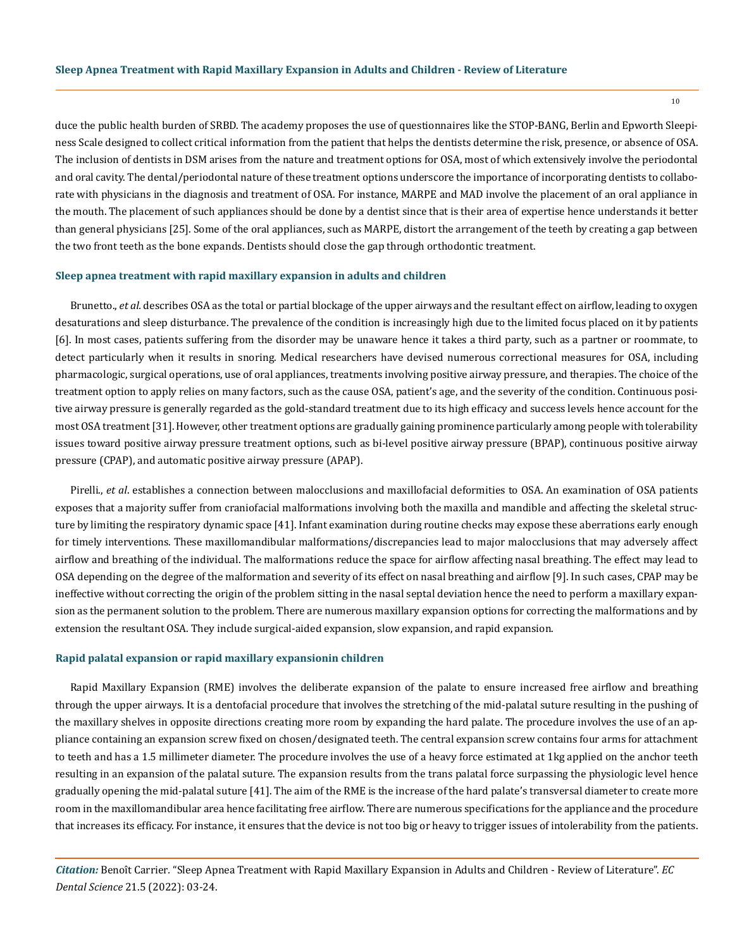duce the public health burden of SRBD. The academy proposes the use of questionnaires like the STOP-BANG, Berlin and Epworth Sleepiness Scale designed to collect critical information from the patient that helps the dentists determine the risk, presence, or absence of OSA. The inclusion of dentists in DSM arises from the nature and treatment options for OSA, most of which extensively involve the periodontal and oral cavity. The dental/periodontal nature of these treatment options underscore the importance of incorporating dentists to collaborate with physicians in the diagnosis and treatment of OSA. For instance, MARPE and MAD involve the placement of an oral appliance in the mouth. The placement of such appliances should be done by a dentist since that is their area of expertise hence understands it better than general physicians [25]. Some of the oral appliances, such as MARPE, distort the arrangement of the teeth by creating a gap between the two front teeth as the bone expands. Dentists should close the gap through orthodontic treatment.

#### **Sleep apnea treatment with rapid maxillary expansion in adults and children**

Brunetto., *et al.* describes OSA as the total or partial blockage of the upper airways and the resultant effect on airflow, leading to oxygen desaturations and sleep disturbance. The prevalence of the condition is increasingly high due to the limited focus placed on it by patients [6]. In most cases, patients suffering from the disorder may be unaware hence it takes a third party, such as a partner or roommate, to detect particularly when it results in snoring. Medical researchers have devised numerous correctional measures for OSA, including pharmacologic, surgical operations, use of oral appliances, treatments involving positive airway pressure, and therapies. The choice of the treatment option to apply relies on many factors, such as the cause OSA, patient's age, and the severity of the condition. Continuous positive airway pressure is generally regarded as the gold-standard treatment due to its high efficacy and success levels hence account for the most OSA treatment [31]. However, other treatment options are gradually gaining prominence particularly among people with tolerability issues toward positive airway pressure treatment options, such as bi-level positive airway pressure (BPAP), continuous positive airway pressure (CPAP), and automatic positive airway pressure (APAP).

Pirelli., *et al*. establishes a connection between malocclusions and maxillofacial deformities to OSA. An examination of OSA patients exposes that a majority suffer from craniofacial malformations involving both the maxilla and mandible and affecting the skeletal structure by limiting the respiratory dynamic space [41]. Infant examination during routine checks may expose these aberrations early enough for timely interventions. These maxillomandibular malformations/discrepancies lead to major malocclusions that may adversely affect airflow and breathing of the individual. The malformations reduce the space for airflow affecting nasal breathing. The effect may lead to OSA depending on the degree of the malformation and severity of its effect on nasal breathing and airflow [9]. In such cases, CPAP may be ineffective without correcting the origin of the problem sitting in the nasal septal deviation hence the need to perform a maxillary expansion as the permanent solution to the problem. There are numerous maxillary expansion options for correcting the malformations and by extension the resultant OSA. They include surgical-aided expansion, slow expansion, and rapid expansion.

#### **Rapid palatal expansion or rapid maxillary expansionin children**

Rapid Maxillary Expansion (RME) involves the deliberate expansion of the palate to ensure increased free airflow and breathing through the upper airways. It is a dentofacial procedure that involves the stretching of the mid-palatal suture resulting in the pushing of the maxillary shelves in opposite directions creating more room by expanding the hard palate. The procedure involves the use of an appliance containing an expansion screw fixed on chosen/designated teeth. The central expansion screw contains four arms for attachment to teeth and has a 1.5 millimeter diameter. The procedure involves the use of a heavy force estimated at 1kg applied on the anchor teeth resulting in an expansion of the palatal suture. The expansion results from the trans palatal force surpassing the physiologic level hence gradually opening the mid-palatal suture [41]. The aim of the RME is the increase of the hard palate's transversal diameter to create more room in the maxillomandibular area hence facilitating free airflow. There are numerous specifications for the appliance and the procedure that increases its efficacy. For instance, it ensures that the device is not too big or heavy to trigger issues of intolerability from the patients.

*Citation:* Benoît Carrier*.* "Sleep Apnea Treatment with Rapid Maxillary Expansion in Adults and Children - Review of Literature". *EC Dental Science* 21.5 (2022): 03-24.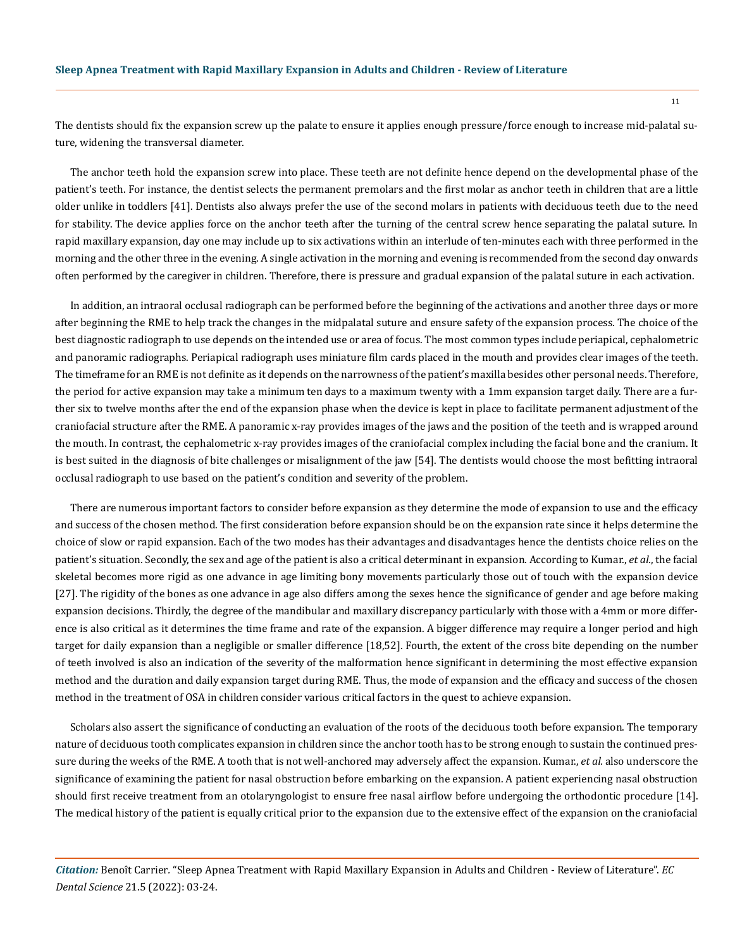The dentists should fix the expansion screw up the palate to ensure it applies enough pressure/force enough to increase mid-palatal suture, widening the transversal diameter.

The anchor teeth hold the expansion screw into place. These teeth are not definite hence depend on the developmental phase of the patient's teeth. For instance, the dentist selects the permanent premolars and the first molar as anchor teeth in children that are a little older unlike in toddlers [41]. Dentists also always prefer the use of the second molars in patients with deciduous teeth due to the need for stability. The device applies force on the anchor teeth after the turning of the central screw hence separating the palatal suture. In rapid maxillary expansion, day one may include up to six activations within an interlude of ten-minutes each with three performed in the morning and the other three in the evening. A single activation in the morning and evening is recommended from the second day onwards often performed by the caregiver in children. Therefore, there is pressure and gradual expansion of the palatal suture in each activation.

In addition, an intraoral occlusal radiograph can be performed before the beginning of the activations and another three days or more after beginning the RME to help track the changes in the midpalatal suture and ensure safety of the expansion process. The choice of the best diagnostic radiograph to use depends on the intended use or area of focus. The most common types include periapical, cephalometric and panoramic radiographs. Periapical radiograph uses miniature film cards placed in the mouth and provides clear images of the teeth. The timeframe for an RME is not definite as it depends on the narrowness of the patient's maxilla besides other personal needs. Therefore, the period for active expansion may take a minimum ten days to a maximum twenty with a 1mm expansion target daily. There are a further six to twelve months after the end of the expansion phase when the device is kept in place to facilitate permanent adjustment of the craniofacial structure after the RME. A panoramic x-ray provides images of the jaws and the position of the teeth and is wrapped around the mouth. In contrast, the cephalometric x-ray provides images of the craniofacial complex including the facial bone and the cranium. It is best suited in the diagnosis of bite challenges or misalignment of the jaw [54]. The dentists would choose the most befitting intraoral occlusal radiograph to use based on the patient's condition and severity of the problem.

There are numerous important factors to consider before expansion as they determine the mode of expansion to use and the efficacy and success of the chosen method. The first consideration before expansion should be on the expansion rate since it helps determine the choice of slow or rapid expansion. Each of the two modes has their advantages and disadvantages hence the dentists choice relies on the patient's situation. Secondly, the sex and age of the patient is also a critical determinant in expansion. According to Kumar., *et al*., the facial skeletal becomes more rigid as one advance in age limiting bony movements particularly those out of touch with the expansion device [27]. The rigidity of the bones as one advance in age also differs among the sexes hence the significance of gender and age before making expansion decisions. Thirdly, the degree of the mandibular and maxillary discrepancy particularly with those with a 4mm or more difference is also critical as it determines the time frame and rate of the expansion. A bigger difference may require a longer period and high target for daily expansion than a negligible or smaller difference [18,52]. Fourth, the extent of the cross bite depending on the number of teeth involved is also an indication of the severity of the malformation hence significant in determining the most effective expansion method and the duration and daily expansion target during RME. Thus, the mode of expansion and the efficacy and success of the chosen method in the treatment of OSA in children consider various critical factors in the quest to achieve expansion.

Scholars also assert the significance of conducting an evaluation of the roots of the deciduous tooth before expansion. The temporary nature of deciduous tooth complicates expansion in children since the anchor tooth has to be strong enough to sustain the continued pressure during the weeks of the RME. A tooth that is not well-anchored may adversely affect the expansion. Kumar., *et al.* also underscore the significance of examining the patient for nasal obstruction before embarking on the expansion. A patient experiencing nasal obstruction should first receive treatment from an otolaryngologist to ensure free nasal airflow before undergoing the orthodontic procedure [14]. The medical history of the patient is equally critical prior to the expansion due to the extensive effect of the expansion on the craniofacial

*Citation:* Benoît Carrier*.* "Sleep Apnea Treatment with Rapid Maxillary Expansion in Adults and Children - Review of Literature". *EC Dental Science* 21.5 (2022): 03-24.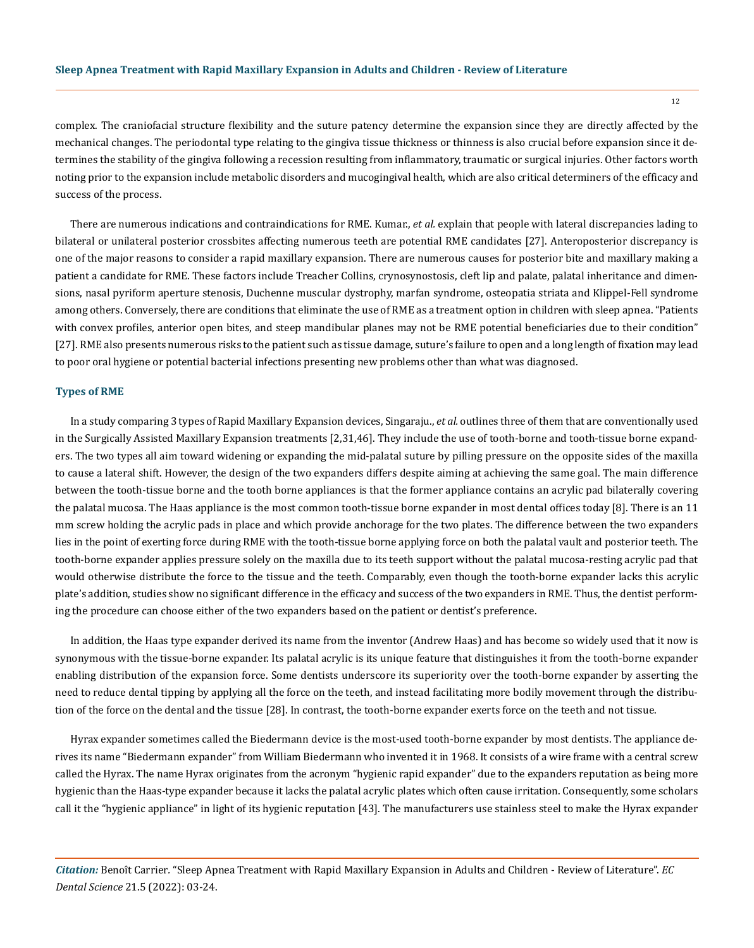complex. The craniofacial structure flexibility and the suture patency determine the expansion since they are directly affected by the mechanical changes. The periodontal type relating to the gingiva tissue thickness or thinness is also crucial before expansion since it determines the stability of the gingiva following a recession resulting from inflammatory, traumatic or surgical injuries. Other factors worth noting prior to the expansion include metabolic disorders and mucogingival health, which are also critical determiners of the efficacy and success of the process.

There are numerous indications and contraindications for RME. Kumar., *et al.* explain that people with lateral discrepancies lading to bilateral or unilateral posterior crossbites affecting numerous teeth are potential RME candidates [27]. Anteroposterior discrepancy is one of the major reasons to consider a rapid maxillary expansion. There are numerous causes for posterior bite and maxillary making a patient a candidate for RME. These factors include Treacher Collins, crynosynostosis, cleft lip and palate, palatal inheritance and dimensions, nasal pyriform aperture stenosis, Duchenne muscular dystrophy, marfan syndrome, osteopatia striata and Klippel-Fell syndrome among others. Conversely, there are conditions that eliminate the use of RME as a treatment option in children with sleep apnea. "Patients with convex profiles, anterior open bites, and steep mandibular planes may not be RME potential beneficiaries due to their condition" [27]. RME also presents numerous risks to the patient such as tissue damage, suture's failure to open and a long length of fixation may lead to poor oral hygiene or potential bacterial infections presenting new problems other than what was diagnosed.

## **Types of RME**

In a study comparing 3 types of Rapid Maxillary Expansion devices, Singaraju., *et al.* outlines three of them that are conventionally used in the Surgically Assisted Maxillary Expansion treatments [2,31,46]. They include the use of tooth-borne and tooth-tissue borne expanders. The two types all aim toward widening or expanding the mid-palatal suture by pilling pressure on the opposite sides of the maxilla to cause a lateral shift. However, the design of the two expanders differs despite aiming at achieving the same goal. The main difference between the tooth-tissue borne and the tooth borne appliances is that the former appliance contains an acrylic pad bilaterally covering the palatal mucosa. The Haas appliance is the most common tooth-tissue borne expander in most dental offices today [8]. There is an 11 mm screw holding the acrylic pads in place and which provide anchorage for the two plates. The difference between the two expanders lies in the point of exerting force during RME with the tooth-tissue borne applying force on both the palatal vault and posterior teeth. The tooth-borne expander applies pressure solely on the maxilla due to its teeth support without the palatal mucosa-resting acrylic pad that would otherwise distribute the force to the tissue and the teeth. Comparably, even though the tooth-borne expander lacks this acrylic plate's addition, studies show no significant difference in the efficacy and success of the two expanders in RME. Thus, the dentist performing the procedure can choose either of the two expanders based on the patient or dentist's preference.

In addition, the Haas type expander derived its name from the inventor (Andrew Haas) and has become so widely used that it now is synonymous with the tissue-borne expander. Its palatal acrylic is its unique feature that distinguishes it from the tooth-borne expander enabling distribution of the expansion force. Some dentists underscore its superiority over the tooth-borne expander by asserting the need to reduce dental tipping by applying all the force on the teeth, and instead facilitating more bodily movement through the distribution of the force on the dental and the tissue [28]. In contrast, the tooth-borne expander exerts force on the teeth and not tissue.

Hyrax expander sometimes called the Biedermann device is the most-used tooth-borne expander by most dentists. The appliance derives its name "Biedermann expander" from William Biedermann who invented it in 1968. It consists of a wire frame with a central screw called the Hyrax. The name Hyrax originates from the acronym "hygienic rapid expander" due to the expanders reputation as being more hygienic than the Haas-type expander because it lacks the palatal acrylic plates which often cause irritation. Consequently, some scholars call it the "hygienic appliance" in light of its hygienic reputation [43]. The manufacturers use stainless steel to make the Hyrax expander

*Citation:* Benoît Carrier*.* "Sleep Apnea Treatment with Rapid Maxillary Expansion in Adults and Children - Review of Literature". *EC Dental Science* 21.5 (2022): 03-24.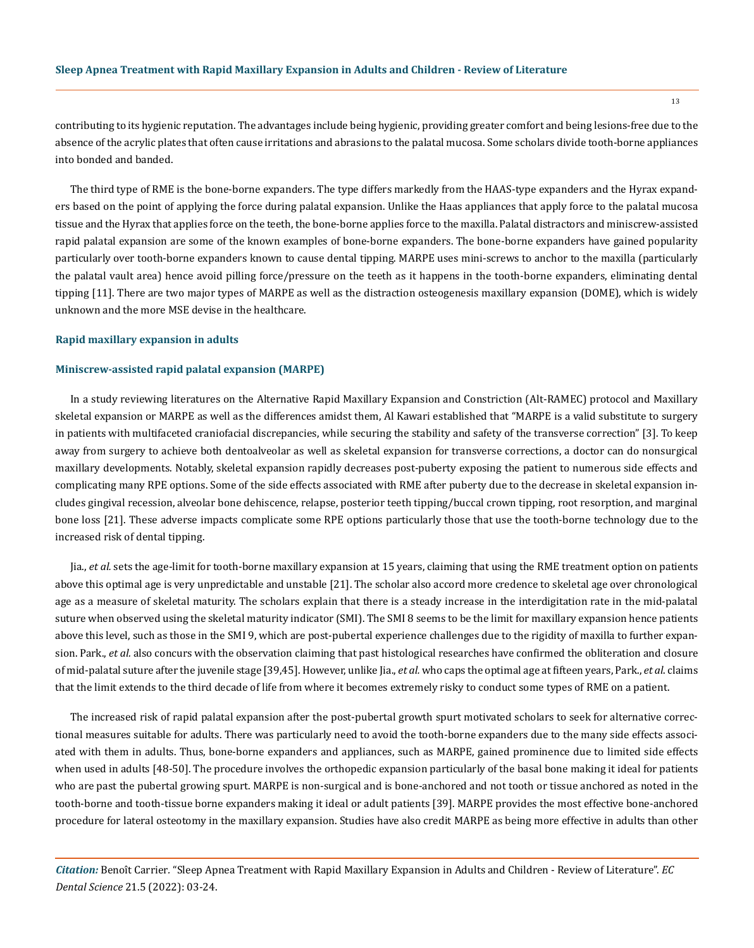contributing to its hygienic reputation. The advantages include being hygienic, providing greater comfort and being lesions-free due to the absence of the acrylic plates that often cause irritations and abrasions to the palatal mucosa. Some scholars divide tooth-borne appliances into bonded and banded.

The third type of RME is the bone-borne expanders. The type differs markedly from the HAAS-type expanders and the Hyrax expanders based on the point of applying the force during palatal expansion. Unlike the Haas appliances that apply force to the palatal mucosa tissue and the Hyrax that applies force on the teeth, the bone-borne applies force to the maxilla. Palatal distractors and miniscrew-assisted rapid palatal expansion are some of the known examples of bone-borne expanders. The bone-borne expanders have gained popularity particularly over tooth-borne expanders known to cause dental tipping. MARPE uses mini-screws to anchor to the maxilla (particularly the palatal vault area) hence avoid pilling force/pressure on the teeth as it happens in the tooth-borne expanders, eliminating dental tipping [11]. There are two major types of MARPE as well as the distraction osteogenesis maxillary expansion (DOME), which is widely unknown and the more MSE devise in the healthcare.

#### **Rapid maxillary expansion in adults**

#### **Miniscrew-assisted rapid palatal expansion (MARPE)**

In a study reviewing literatures on the Alternative Rapid Maxillary Expansion and Constriction (Alt-RAMEC) protocol and Maxillary skeletal expansion or MARPE as well as the differences amidst them, Al Kawari established that "MARPE is a valid substitute to surgery in patients with multifaceted craniofacial discrepancies, while securing the stability and safety of the transverse correction" [3]. To keep away from surgery to achieve both dentoalveolar as well as skeletal expansion for transverse corrections, a doctor can do nonsurgical maxillary developments. Notably, skeletal expansion rapidly decreases post-puberty exposing the patient to numerous side effects and complicating many RPE options. Some of the side effects associated with RME after puberty due to the decrease in skeletal expansion includes gingival recession, alveolar bone dehiscence, relapse, posterior teeth tipping/buccal crown tipping, root resorption, and marginal bone loss [21]. These adverse impacts complicate some RPE options particularly those that use the tooth-borne technology due to the increased risk of dental tipping.

Jia., *et al.* sets the age-limit for tooth-borne maxillary expansion at 15 years, claiming that using the RME treatment option on patients above this optimal age is very unpredictable and unstable [21]. The scholar also accord more credence to skeletal age over chronological age as a measure of skeletal maturity. The scholars explain that there is a steady increase in the interdigitation rate in the mid-palatal suture when observed using the skeletal maturity indicator (SMI). The SMI 8 seems to be the limit for maxillary expansion hence patients above this level, such as those in the SMI 9, which are post-pubertal experience challenges due to the rigidity of maxilla to further expansion. Park., *et al.* also concurs with the observation claiming that past histological researches have confirmed the obliteration and closure of mid-palatal suture after the juvenile stage [39,45]. However, unlike Jia., *et al.* who caps the optimal age at fifteen years, Park., *et al*. claims that the limit extends to the third decade of life from where it becomes extremely risky to conduct some types of RME on a patient.

The increased risk of rapid palatal expansion after the post-pubertal growth spurt motivated scholars to seek for alternative correctional measures suitable for adults. There was particularly need to avoid the tooth-borne expanders due to the many side effects associated with them in adults. Thus, bone-borne expanders and appliances, such as MARPE, gained prominence due to limited side effects when used in adults [48-50]. The procedure involves the orthopedic expansion particularly of the basal bone making it ideal for patients who are past the pubertal growing spurt. MARPE is non-surgical and is bone-anchored and not tooth or tissue anchored as noted in the tooth-borne and tooth-tissue borne expanders making it ideal or adult patients [39]. MARPE provides the most effective bone-anchored procedure for lateral osteotomy in the maxillary expansion. Studies have also credit MARPE as being more effective in adults than other

*Citation:* Benoît Carrier*.* "Sleep Apnea Treatment with Rapid Maxillary Expansion in Adults and Children - Review of Literature". *EC Dental Science* 21.5 (2022): 03-24.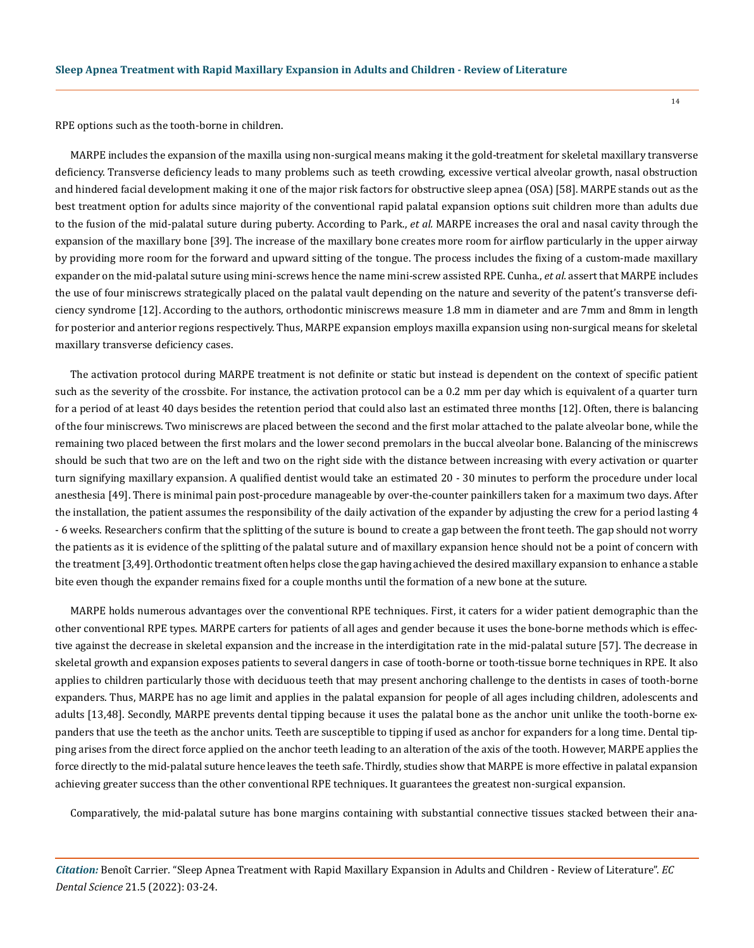RPE options such as the tooth-borne in children.

MARPE includes the expansion of the maxilla using non-surgical means making it the gold-treatment for skeletal maxillary transverse deficiency. Transverse deficiency leads to many problems such as teeth crowding, excessive vertical alveolar growth, nasal obstruction and hindered facial development making it one of the major risk factors for obstructive sleep apnea (OSA) [58]. MARPE stands out as the best treatment option for adults since majority of the conventional rapid palatal expansion options suit children more than adults due to the fusion of the mid-palatal suture during puberty. According to Park., *et al.* MARPE increases the oral and nasal cavity through the expansion of the maxillary bone [39]. The increase of the maxillary bone creates more room for airflow particularly in the upper airway by providing more room for the forward and upward sitting of the tongue. The process includes the fixing of a custom-made maxillary expander on the mid-palatal suture using mini-screws hence the name mini-screw assisted RPE. Cunha., *et al.* assert that MARPE includes the use of four miniscrews strategically placed on the palatal vault depending on the nature and severity of the patent's transverse deficiency syndrome [12]. According to the authors, orthodontic miniscrews measure 1.8 mm in diameter and are 7mm and 8mm in length for posterior and anterior regions respectively. Thus, MARPE expansion employs maxilla expansion using non-surgical means for skeletal maxillary transverse deficiency cases.

The activation protocol during MARPE treatment is not definite or static but instead is dependent on the context of specific patient such as the severity of the crossbite. For instance, the activation protocol can be a 0.2 mm per day which is equivalent of a quarter turn for a period of at least 40 days besides the retention period that could also last an estimated three months [12]. Often, there is balancing of the four miniscrews. Two miniscrews are placed between the second and the first molar attached to the palate alveolar bone, while the remaining two placed between the first molars and the lower second premolars in the buccal alveolar bone. Balancing of the miniscrews should be such that two are on the left and two on the right side with the distance between increasing with every activation or quarter turn signifying maxillary expansion. A qualified dentist would take an estimated 20 - 30 minutes to perform the procedure under local anesthesia [49]. There is minimal pain post-procedure manageable by over-the-counter painkillers taken for a maximum two days. After the installation, the patient assumes the responsibility of the daily activation of the expander by adjusting the crew for a period lasting 4 - 6 weeks. Researchers confirm that the splitting of the suture is bound to create a gap between the front teeth. The gap should not worry the patients as it is evidence of the splitting of the palatal suture and of maxillary expansion hence should not be a point of concern with the treatment [3,49]. Orthodontic treatment often helps close the gap having achieved the desired maxillary expansion to enhance a stable bite even though the expander remains fixed for a couple months until the formation of a new bone at the suture.

MARPE holds numerous advantages over the conventional RPE techniques. First, it caters for a wider patient demographic than the other conventional RPE types. MARPE carters for patients of all ages and gender because it uses the bone-borne methods which is effective against the decrease in skeletal expansion and the increase in the interdigitation rate in the mid-palatal suture [57]. The decrease in skeletal growth and expansion exposes patients to several dangers in case of tooth-borne or tooth-tissue borne techniques in RPE. It also applies to children particularly those with deciduous teeth that may present anchoring challenge to the dentists in cases of tooth-borne expanders. Thus, MARPE has no age limit and applies in the palatal expansion for people of all ages including children, adolescents and adults [13,48]. Secondly, MARPE prevents dental tipping because it uses the palatal bone as the anchor unit unlike the tooth-borne expanders that use the teeth as the anchor units. Teeth are susceptible to tipping if used as anchor for expanders for a long time. Dental tipping arises from the direct force applied on the anchor teeth leading to an alteration of the axis of the tooth. However, MARPE applies the force directly to the mid-palatal suture hence leaves the teeth safe. Thirdly, studies show that MARPE is more effective in palatal expansion achieving greater success than the other conventional RPE techniques. It guarantees the greatest non-surgical expansion.

Comparatively, the mid-palatal suture has bone margins containing with substantial connective tissues stacked between their ana-

*Citation:* Benoît Carrier*.* "Sleep Apnea Treatment with Rapid Maxillary Expansion in Adults and Children - Review of Literature". *EC Dental Science* 21.5 (2022): 03-24.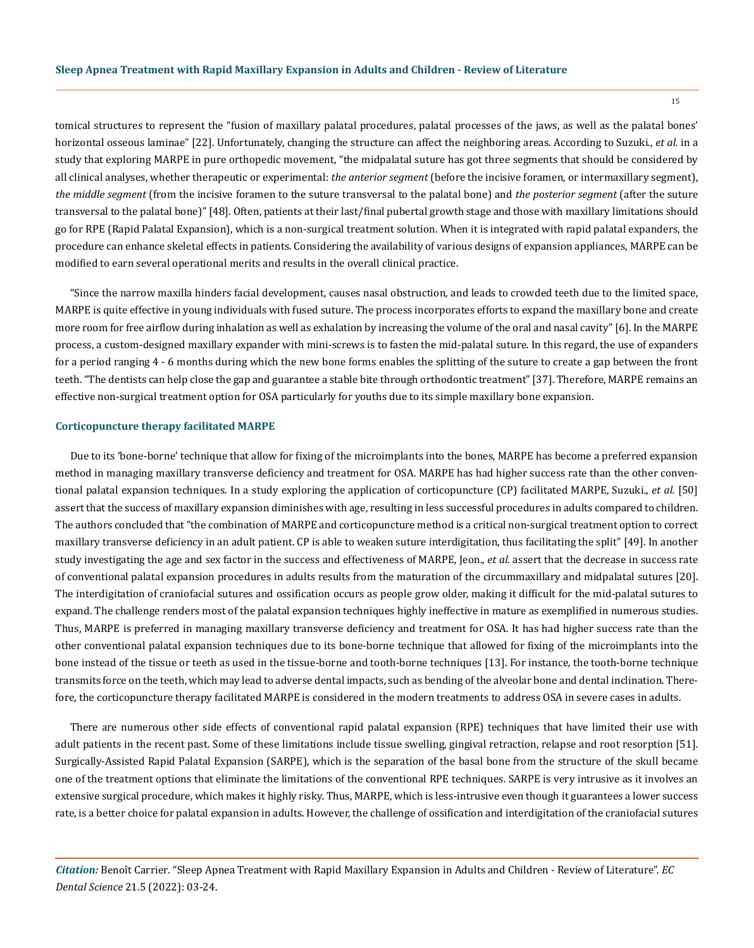tomical structures to represent the "fusion of maxillary palatal procedures, palatal processes of the jaws, as well as the palatal bones' horizontal osseous laminae" [22]. Unfortunately, changing the structure can affect the neighboring areas. According to Suzuki., *et al.* in a study that exploring MARPE in pure orthopedic movement, "the midpalatal suture has got three segments that should be considered by all clinical analyses, whether therapeutic or experimental: *the anterior segment* (before the incisive foramen, or intermaxillary segment), *the middle segment* (from the incisive foramen to the suture transversal to the palatal bone) and *the posterior segment* (after the suture transversal to the palatal bone)" [48]. Often, patients at their last/final pubertal growth stage and those with maxillary limitations should go for RPE (Rapid Palatal Expansion), which is a non-surgical treatment solution. When it is integrated with rapid palatal expanders, the procedure can enhance skeletal effects in patients. Considering the availability of various designs of expansion appliances, MARPE can be modified to earn several operational merits and results in the overall clinical practice.

"Since the narrow maxilla hinders facial development, causes nasal obstruction, and leads to crowded teeth due to the limited space, MARPE is quite effective in young individuals with fused suture. The process incorporates efforts to expand the maxillary bone and create more room for free airflow during inhalation as well as exhalation by increasing the volume of the oral and nasal cavity" [6]. In the MARPE process, a custom-designed maxillary expander with mini-screws is to fasten the mid-palatal suture. In this regard, the use of expanders for a period ranging 4 - 6 months during which the new bone forms enables the splitting of the suture to create a gap between the front teeth. "The dentists can help close the gap and guarantee a stable bite through orthodontic treatment" [37]. Therefore, MARPE remains an effective non-surgical treatment option for OSA particularly for youths due to its simple maxillary bone expansion.

#### **Corticopuncture therapy facilitated MARPE**

Due to its 'bone-borne' technique that allow for fixing of the microimplants into the bones, MARPE has become a preferred expansion method in managing maxillary transverse deficiency and treatment for OSA. MARPE has had higher success rate than the other conventional palatal expansion techniques. In a study exploring the application of corticopuncture (CP) facilitated MARPE, Suzuki., *et al.* [50] assert that the success of maxillary expansion diminishes with age, resulting in less successful procedures in adults compared to children. The authors concluded that "the combination of MARPE and corticopuncture method is a critical non-surgical treatment option to correct maxillary transverse deficiency in an adult patient. CP is able to weaken suture interdigitation, thus facilitating the split" [49]. In another study investigating the age and sex factor in the success and effectiveness of MARPE, Jeon., *et al*. assert that the decrease in success rate of conventional palatal expansion procedures in adults results from the maturation of the circummaxillary and midpalatal sutures [20]. The interdigitation of craniofacial sutures and ossification occurs as people grow older, making it difficult for the mid-palatal sutures to expand. The challenge renders most of the palatal expansion techniques highly ineffective in mature as exemplified in numerous studies. Thus, MARPE is preferred in managing maxillary transverse deficiency and treatment for OSA. It has had higher success rate than the other conventional palatal expansion techniques due to its bone-borne technique that allowed for fixing of the microimplants into the bone instead of the tissue or teeth as used in the tissue-borne and tooth-borne techniques [13]. For instance, the tooth-borne technique transmits force on the teeth, which may lead to adverse dental impacts, such as bending of the alveolar bone and dental inclination. Therefore, the corticopuncture therapy facilitated MARPE is considered in the modern treatments to address OSA in severe cases in adults.

There are numerous other side effects of conventional rapid palatal expansion (RPE) techniques that have limited their use with adult patients in the recent past. Some of these limitations include tissue swelling, gingival retraction, relapse and root resorption [51]. Surgically-Assisted Rapid Palatal Expansion (SARPE), which is the separation of the basal bone from the structure of the skull became one of the treatment options that eliminate the limitations of the conventional RPE techniques. SARPE is very intrusive as it involves an extensive surgical procedure, which makes it highly risky. Thus, MARPE, which is less-intrusive even though it guarantees a lower success rate, is a better choice for palatal expansion in adults. However, the challenge of ossification and interdigitation of the craniofacial sutures

*Citation:* Benoît Carrier*.* "Sleep Apnea Treatment with Rapid Maxillary Expansion in Adults and Children - Review of Literature". *EC Dental Science* 21.5 (2022): 03-24.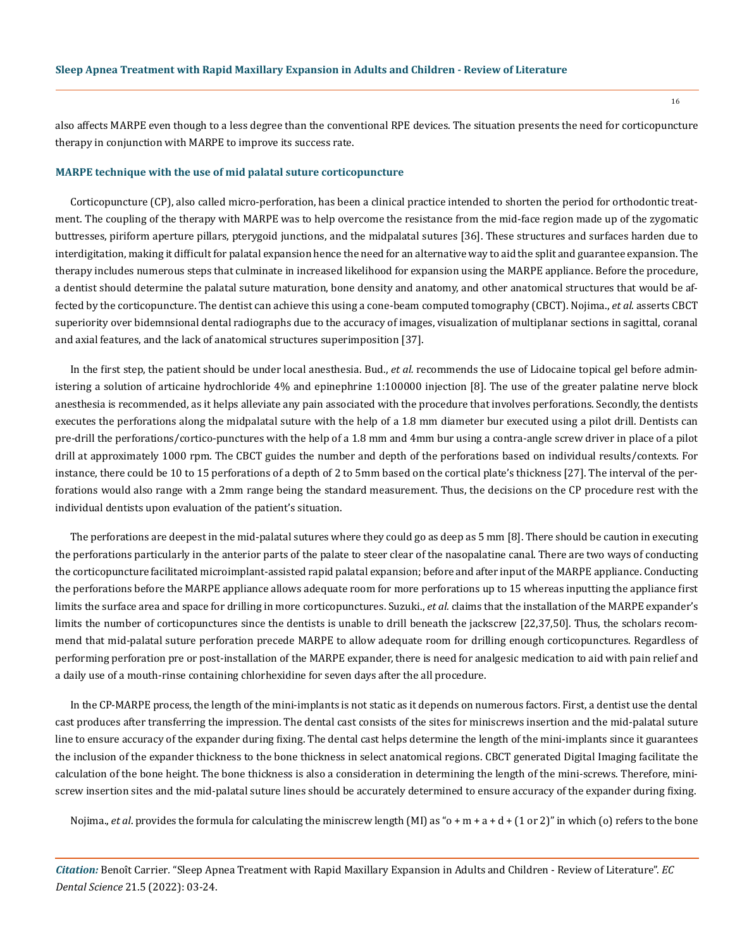also affects MARPE even though to a less degree than the conventional RPE devices. The situation presents the need for corticopuncture therapy in conjunction with MARPE to improve its success rate.

#### **MARPE technique with the use of mid palatal suture corticopuncture**

Corticopuncture (CP), also called micro-perforation, has been a clinical practice intended to shorten the period for orthodontic treatment. The coupling of the therapy with MARPE was to help overcome the resistance from the mid-face region made up of the zygomatic buttresses, piriform aperture pillars, pterygoid junctions, and the midpalatal sutures [36]. These structures and surfaces harden due to interdigitation, making it difficult for palatal expansion hence the need for an alternative way to aid the split and guarantee expansion. The therapy includes numerous steps that culminate in increased likelihood for expansion using the MARPE appliance. Before the procedure, a dentist should determine the palatal suture maturation, bone density and anatomy, and other anatomical structures that would be affected by the corticopuncture. The dentist can achieve this using a cone-beam computed tomography (CBCT). Nojima., *et al*. asserts CBCT superiority over bidemnsional dental radiographs due to the accuracy of images, visualization of multiplanar sections in sagittal, coranal and axial features, and the lack of anatomical structures superimposition [37].

In the first step, the patient should be under local anesthesia. Bud., *et al.* recommends the use of Lidocaine topical gel before administering a solution of articaine hydrochloride 4% and epinephrine 1:100000 injection [8]. The use of the greater palatine nerve block anesthesia is recommended, as it helps alleviate any pain associated with the procedure that involves perforations. Secondly, the dentists executes the perforations along the midpalatal suture with the help of a 1.8 mm diameter bur executed using a pilot drill. Dentists can pre-drill the perforations/cortico-punctures with the help of a 1.8 mm and 4mm bur using a contra-angle screw driver in place of a pilot drill at approximately 1000 rpm. The CBCT guides the number and depth of the perforations based on individual results/contexts. For instance, there could be 10 to 15 perforations of a depth of 2 to 5mm based on the cortical plate's thickness [27]. The interval of the perforations would also range with a 2mm range being the standard measurement. Thus, the decisions on the CP procedure rest with the individual dentists upon evaluation of the patient's situation.

The perforations are deepest in the mid-palatal sutures where they could go as deep as 5 mm [8]. There should be caution in executing the perforations particularly in the anterior parts of the palate to steer clear of the nasopalatine canal. There are two ways of conducting the corticopuncture facilitated microimplant-assisted rapid palatal expansion; before and after input of the MARPE appliance. Conducting the perforations before the MARPE appliance allows adequate room for more perforations up to 15 whereas inputting the appliance first limits the surface area and space for drilling in more corticopunctures. Suzuki., *et al.* claims that the installation of the MARPE expander's limits the number of corticopunctures since the dentists is unable to drill beneath the jackscrew [22,37,50]. Thus, the scholars recommend that mid-palatal suture perforation precede MARPE to allow adequate room for drilling enough corticopunctures. Regardless of performing perforation pre or post-installation of the MARPE expander, there is need for analgesic medication to aid with pain relief and a daily use of a mouth-rinse containing chlorhexidine for seven days after the all procedure.

In the CP-MARPE process, the length of the mini-implants is not static as it depends on numerous factors. First, a dentist use the dental cast produces after transferring the impression. The dental cast consists of the sites for miniscrews insertion and the mid-palatal suture line to ensure accuracy of the expander during fixing. The dental cast helps determine the length of the mini-implants since it guarantees the inclusion of the expander thickness to the bone thickness in select anatomical regions. CBCT generated Digital Imaging facilitate the calculation of the bone height. The bone thickness is also a consideration in determining the length of the mini-screws. Therefore, miniscrew insertion sites and the mid-palatal suture lines should be accurately determined to ensure accuracy of the expander during fixing.

Nojima., *et al.* provides the formula for calculating the miniscrew length (MI) as "o + m + a + d + (1 or 2)" in which (o) refers to the bone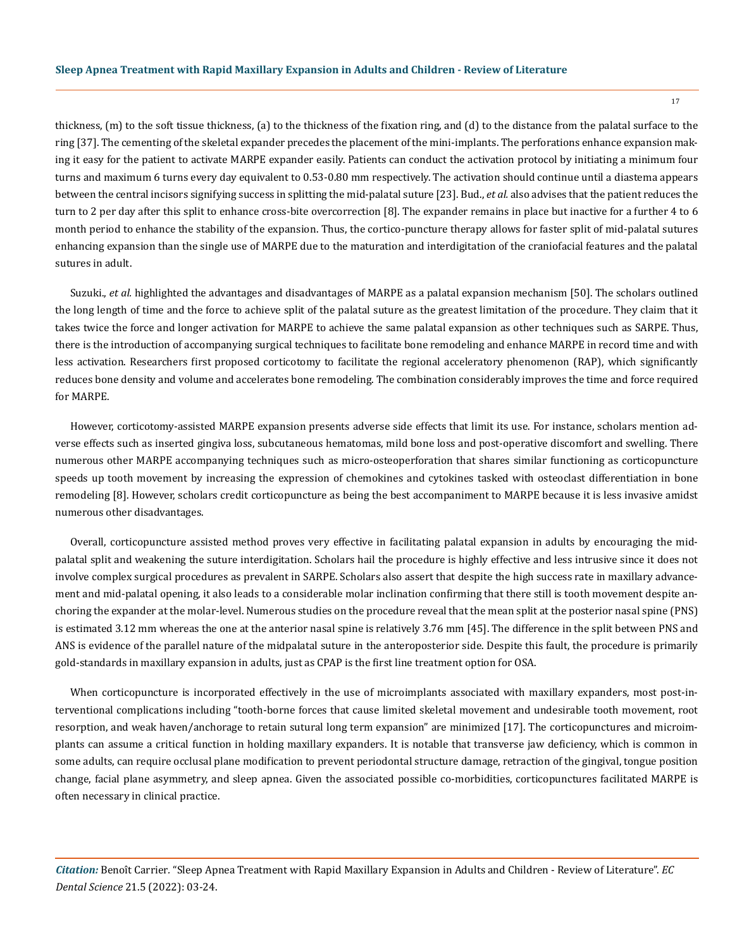thickness, (m) to the soft tissue thickness, (a) to the thickness of the fixation ring, and (d) to the distance from the palatal surface to the ring [37]. The cementing of the skeletal expander precedes the placement of the mini-implants. The perforations enhance expansion making it easy for the patient to activate MARPE expander easily. Patients can conduct the activation protocol by initiating a minimum four turns and maximum 6 turns every day equivalent to 0.53-0.80 mm respectively. The activation should continue until a diastema appears between the central incisors signifying success in splitting the mid-palatal suture [23]. Bud., *et al.* also advises that the patient reduces the turn to 2 per day after this split to enhance cross-bite overcorrection [8]. The expander remains in place but inactive for a further 4 to 6 month period to enhance the stability of the expansion. Thus, the cortico-puncture therapy allows for faster split of mid-palatal sutures enhancing expansion than the single use of MARPE due to the maturation and interdigitation of the craniofacial features and the palatal sutures in adult.

Suzuki., *et al.* highlighted the advantages and disadvantages of MARPE as a palatal expansion mechanism [50]. The scholars outlined the long length of time and the force to achieve split of the palatal suture as the greatest limitation of the procedure. They claim that it takes twice the force and longer activation for MARPE to achieve the same palatal expansion as other techniques such as SARPE. Thus, there is the introduction of accompanying surgical techniques to facilitate bone remodeling and enhance MARPE in record time and with less activation. Researchers first proposed corticotomy to facilitate the regional acceleratory phenomenon (RAP), which significantly reduces bone density and volume and accelerates bone remodeling. The combination considerably improves the time and force required for MARPE.

However, corticotomy-assisted MARPE expansion presents adverse side effects that limit its use. For instance, scholars mention adverse effects such as inserted gingiva loss, subcutaneous hematomas, mild bone loss and post-operative discomfort and swelling. There numerous other MARPE accompanying techniques such as micro-osteoperforation that shares similar functioning as corticopuncture speeds up tooth movement by increasing the expression of chemokines and cytokines tasked with osteoclast differentiation in bone remodeling [8]. However, scholars credit corticopuncture as being the best accompaniment to MARPE because it is less invasive amidst numerous other disadvantages.

Overall, corticopuncture assisted method proves very effective in facilitating palatal expansion in adults by encouraging the midpalatal split and weakening the suture interdigitation. Scholars hail the procedure is highly effective and less intrusive since it does not involve complex surgical procedures as prevalent in SARPE. Scholars also assert that despite the high success rate in maxillary advancement and mid-palatal opening, it also leads to a considerable molar inclination confirming that there still is tooth movement despite anchoring the expander at the molar-level. Numerous studies on the procedure reveal that the mean split at the posterior nasal spine (PNS) is estimated 3.12 mm whereas the one at the anterior nasal spine is relatively 3.76 mm [45]. The difference in the split between PNS and ANS is evidence of the parallel nature of the midpalatal suture in the anteroposterior side. Despite this fault, the procedure is primarily gold-standards in maxillary expansion in adults, just as CPAP is the first line treatment option for OSA.

When corticopuncture is incorporated effectively in the use of microimplants associated with maxillary expanders, most post-interventional complications including "tooth-borne forces that cause limited skeletal movement and undesirable tooth movement, root resorption, and weak haven/anchorage to retain sutural long term expansion" are minimized [17]. The corticopunctures and microimplants can assume a critical function in holding maxillary expanders. It is notable that transverse jaw deficiency, which is common in some adults, can require occlusal plane modification to prevent periodontal structure damage, retraction of the gingival, tongue position change, facial plane asymmetry, and sleep apnea. Given the associated possible co-morbidities, corticopunctures facilitated MARPE is often necessary in clinical practice.

*Citation:* Benoît Carrier*.* "Sleep Apnea Treatment with Rapid Maxillary Expansion in Adults and Children - Review of Literature". *EC Dental Science* 21.5 (2022): 03-24.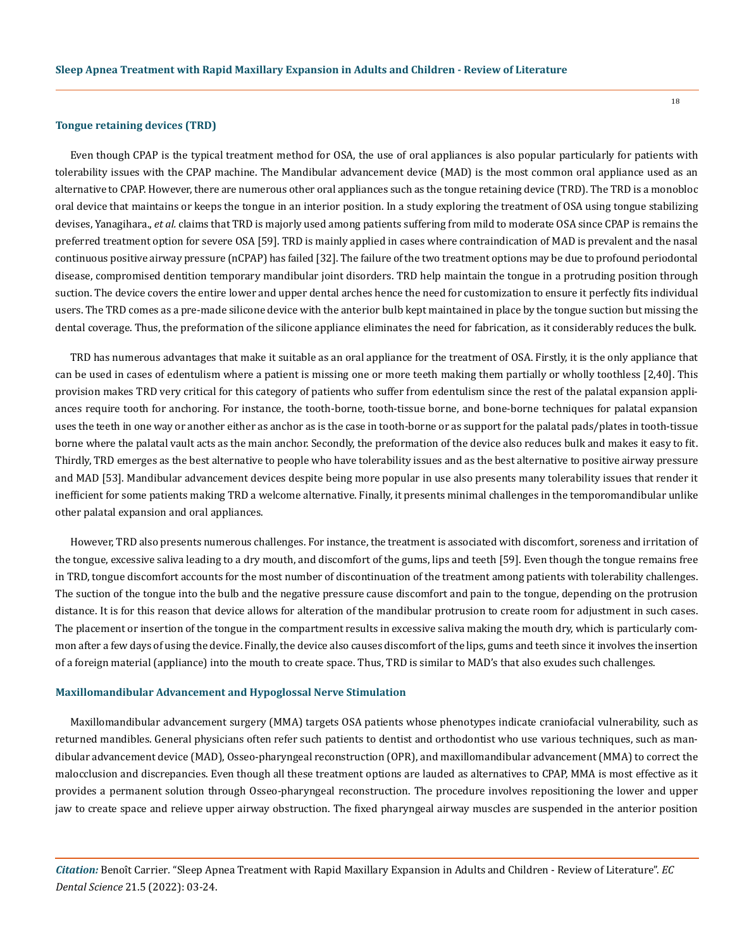#### **Tongue retaining devices (TRD)**

Even though CPAP is the typical treatment method for OSA, the use of oral appliances is also popular particularly for patients with tolerability issues with the CPAP machine. The Mandibular advancement device (MAD) is the most common oral appliance used as an alternative to CPAP. However, there are numerous other oral appliances such as the tongue retaining device (TRD). The TRD is a monobloc oral device that maintains or keeps the tongue in an interior position. In a study exploring the treatment of OSA using tongue stabilizing devises, Yanagihara., *et al.* claims that TRD is majorly used among patients suffering from mild to moderate OSA since CPAP is remains the preferred treatment option for severe OSA [59]. TRD is mainly applied in cases where contraindication of MAD is prevalent and the nasal continuous positive airway pressure (nCPAP) has failed [32]. The failure of the two treatment options may be due to profound periodontal disease, compromised dentition temporary mandibular joint disorders. TRD help maintain the tongue in a protruding position through suction. The device covers the entire lower and upper dental arches hence the need for customization to ensure it perfectly fits individual users. The TRD comes as a pre-made silicone device with the anterior bulb kept maintained in place by the tongue suction but missing the dental coverage. Thus, the preformation of the silicone appliance eliminates the need for fabrication, as it considerably reduces the bulk.

TRD has numerous advantages that make it suitable as an oral appliance for the treatment of OSA. Firstly, it is the only appliance that can be used in cases of edentulism where a patient is missing one or more teeth making them partially or wholly toothless [2,40]. This provision makes TRD very critical for this category of patients who suffer from edentulism since the rest of the palatal expansion appliances require tooth for anchoring. For instance, the tooth-borne, tooth-tissue borne, and bone-borne techniques for palatal expansion uses the teeth in one way or another either as anchor as is the case in tooth-borne or as support for the palatal pads/plates in tooth-tissue borne where the palatal vault acts as the main anchor. Secondly, the preformation of the device also reduces bulk and makes it easy to fit. Thirdly, TRD emerges as the best alternative to people who have tolerability issues and as the best alternative to positive airway pressure and MAD [53]. Mandibular advancement devices despite being more popular in use also presents many tolerability issues that render it inefficient for some patients making TRD a welcome alternative. Finally, it presents minimal challenges in the temporomandibular unlike other palatal expansion and oral appliances.

However, TRD also presents numerous challenges. For instance, the treatment is associated with discomfort, soreness and irritation of the tongue, excessive saliva leading to a dry mouth, and discomfort of the gums, lips and teeth [59]. Even though the tongue remains free in TRD, tongue discomfort accounts for the most number of discontinuation of the treatment among patients with tolerability challenges. The suction of the tongue into the bulb and the negative pressure cause discomfort and pain to the tongue, depending on the protrusion distance. It is for this reason that device allows for alteration of the mandibular protrusion to create room for adjustment in such cases. The placement or insertion of the tongue in the compartment results in excessive saliva making the mouth dry, which is particularly common after a few days of using the device. Finally, the device also causes discomfort of the lips, gums and teeth since it involves the insertion of a foreign material (appliance) into the mouth to create space. Thus, TRD is similar to MAD's that also exudes such challenges.

### **Maxillomandibular Advancement and Hypoglossal Nerve Stimulation**

Maxillomandibular advancement surgery (MMA) targets OSA patients whose phenotypes indicate craniofacial vulnerability, such as returned mandibles. General physicians often refer such patients to dentist and orthodontist who use various techniques, such as mandibular advancement device (MAD), Osseo-pharyngeal reconstruction (OPR), and maxillomandibular advancement (MMA) to correct the malocclusion and discrepancies. Even though all these treatment options are lauded as alternatives to CPAP, MMA is most effective as it provides a permanent solution through Osseo-pharyngeal reconstruction. The procedure involves repositioning the lower and upper jaw to create space and relieve upper airway obstruction. The fixed pharyngeal airway muscles are suspended in the anterior position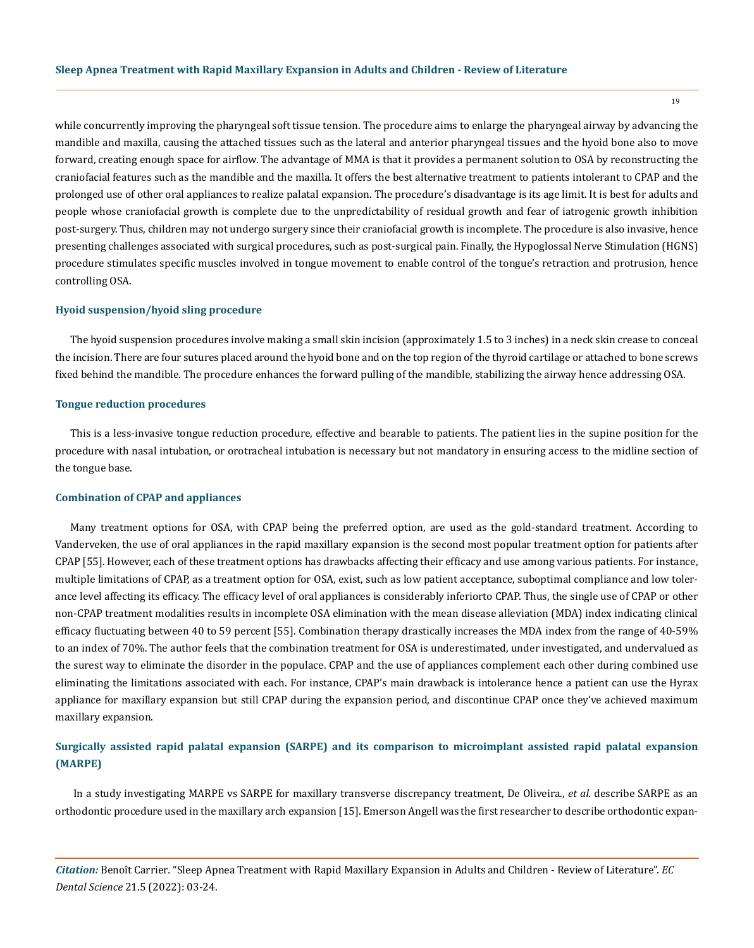while concurrently improving the pharyngeal soft tissue tension. The procedure aims to enlarge the pharyngeal airway by advancing the mandible and maxilla, causing the attached tissues such as the lateral and anterior pharyngeal tissues and the hyoid bone also to move forward, creating enough space for airflow. The advantage of MMA is that it provides a permanent solution to OSA by reconstructing the craniofacial features such as the mandible and the maxilla. It offers the best alternative treatment to patients intolerant to CPAP and the prolonged use of other oral appliances to realize palatal expansion. The procedure's disadvantage is its age limit. It is best for adults and people whose craniofacial growth is complete due to the unpredictability of residual growth and fear of iatrogenic growth inhibition post-surgery. Thus, children may not undergo surgery since their craniofacial growth is incomplete. The procedure is also invasive, hence presenting challenges associated with surgical procedures, such as post-surgical pain. Finally, the Hypoglossal Nerve Stimulation (HGNS) procedure stimulates specific muscles involved in tongue movement to enable control of the tongue's retraction and protrusion, hence controlling OSA.

## **Hyoid suspension/hyoid sling procedure**

The hyoid suspension procedures involve making a small skin incision (approximately 1.5 to 3 inches) in a neck skin crease to conceal the incision. There are four sutures placed around the hyoid bone and on the top region of the thyroid cartilage or attached to bone screws fixed behind the mandible. The procedure enhances the forward pulling of the mandible, stabilizing the airway hence addressing OSA.

#### **Tongue reduction procedures**

This is a less-invasive tongue reduction procedure, effective and bearable to patients. The patient lies in the supine position for the procedure with nasal intubation, or orotracheal intubation is necessary but not mandatory in ensuring access to the midline section of the tongue base.

#### **Combination of CPAP and appliances**

Many treatment options for OSA, with CPAP being the preferred option, are used as the gold-standard treatment. According to Vanderveken, the use of oral appliances in the rapid maxillary expansion is the second most popular treatment option for patients after CPAP [55]. However, each of these treatment options has drawbacks affecting their efficacy and use among various patients. For instance, multiple limitations of CPAP, as a treatment option for OSA, exist, such as low patient acceptance, suboptimal compliance and low tolerance level affecting its efficacy. The efficacy level of oral appliances is considerably inferiorto CPAP. Thus, the single use of CPAP or other non-CPAP treatment modalities results in incomplete OSA elimination with the mean disease alleviation (MDA) index indicating clinical efficacy fluctuating between 40 to 59 percent [55]. Combination therapy drastically increases the MDA index from the range of 40-59% to an index of 70%. The author feels that the combination treatment for OSA is underestimated, under investigated, and undervalued as the surest way to eliminate the disorder in the populace. CPAP and the use of appliances complement each other during combined use eliminating the limitations associated with each. For instance, CPAP's main drawback is intolerance hence a patient can use the Hyrax appliance for maxillary expansion but still CPAP during the expansion period, and discontinue CPAP once they've achieved maximum maxillary expansion.

# **Surgically assisted rapid palatal expansion (SARPE) and its comparison to microimplant assisted rapid palatal expansion (MARPE)**

In a study investigating MARPE vs SARPE for maxillary transverse discrepancy treatment, De Oliveira., *et al.* describe SARPE as an orthodontic procedure used in the maxillary arch expansion [15]. Emerson Angell was the first researcher to describe orthodontic expan-

*Citation:* Benoît Carrier*.* "Sleep Apnea Treatment with Rapid Maxillary Expansion in Adults and Children - Review of Literature". *EC Dental Science* 21.5 (2022): 03-24.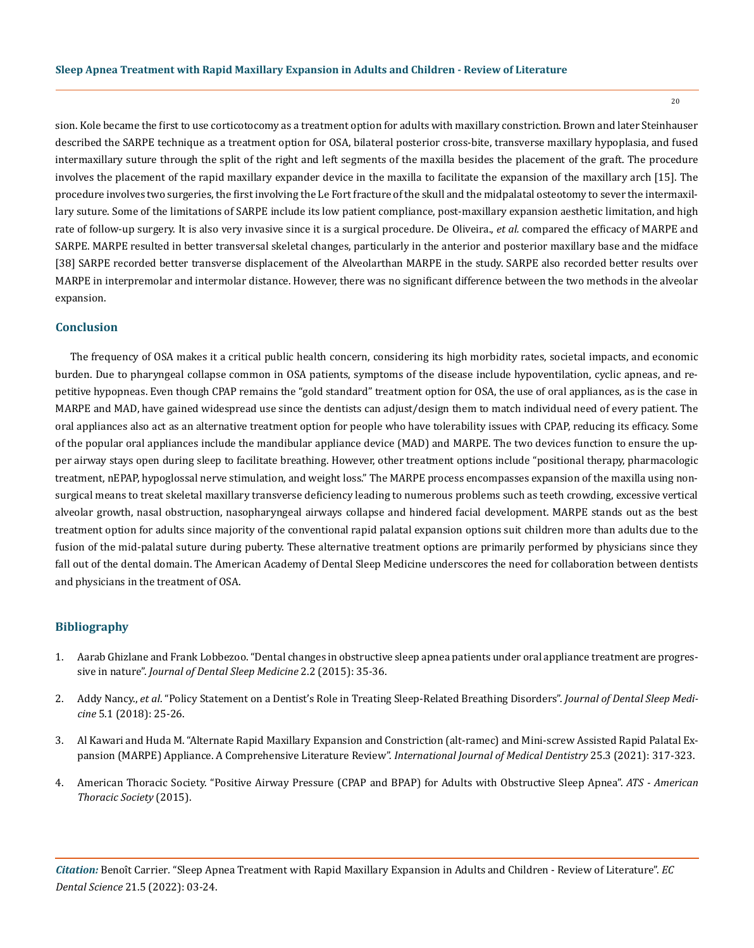sion. Kole became the first to use corticotocomy as a treatment option for adults with maxillary constriction. Brown and later Steinhauser described the SARPE technique as a treatment option for OSA, bilateral posterior cross-bite, transverse maxillary hypoplasia, and fused intermaxillary suture through the split of the right and left segments of the maxilla besides the placement of the graft. The procedure involves the placement of the rapid maxillary expander device in the maxilla to facilitate the expansion of the maxillary arch [15]. The procedure involves two surgeries, the first involving the Le Fort fracture of the skull and the midpalatal osteotomy to sever the intermaxillary suture. Some of the limitations of SARPE include its low patient compliance, post-maxillary expansion aesthetic limitation, and high rate of follow-up surgery. It is also very invasive since it is a surgical procedure. De Oliveira., *et al.* compared the efficacy of MARPE and SARPE. MARPE resulted in better transversal skeletal changes, particularly in the anterior and posterior maxillary base and the midface [38] SARPE recorded better transverse displacement of the Alveolarthan MARPE in the study. SARPE also recorded better results over MARPE in interpremolar and intermolar distance. However, there was no significant difference between the two methods in the alveolar expansion.

# **Conclusion**

The frequency of OSA makes it a critical public health concern, considering its high morbidity rates, societal impacts, and economic burden. Due to pharyngeal collapse common in OSA patients, symptoms of the disease include hypoventilation, cyclic apneas, and repetitive hypopneas. Even though CPAP remains the "gold standard" treatment option for OSA, the use of oral appliances, as is the case in MARPE and MAD, have gained widespread use since the dentists can adjust/design them to match individual need of every patient. The oral appliances also act as an alternative treatment option for people who have tolerability issues with CPAP, reducing its efficacy. Some of the popular oral appliances include the mandibular appliance device (MAD) and MARPE. The two devices function to ensure the upper airway stays open during sleep to facilitate breathing. However, other treatment options include "positional therapy, pharmacologic treatment, nEPAP, hypoglossal nerve stimulation, and weight loss." The MARPE process encompasses expansion of the maxilla using nonsurgical means to treat skeletal maxillary transverse deficiency leading to numerous problems such as teeth crowding, excessive vertical alveolar growth, nasal obstruction, nasopharyngeal airways collapse and hindered facial development. MARPE stands out as the best treatment option for adults since majority of the conventional rapid palatal expansion options suit children more than adults due to the fusion of the mid-palatal suture during puberty. These alternative treatment options are primarily performed by physicians since they fall out of the dental domain. The American Academy of Dental Sleep Medicine underscores the need for collaboration between dentists and physicians in the treatment of OSA.

# **Bibliography**

- 1. [Aarab Ghizlane and Frank Lobbezoo. "Dental changes in obstructive sleep apnea patients under oral appliance treatment are progres](https://dare.uva.nl/search?identifier=1f03d717-3f75-4c9c-943d-e576909787bd)sive in nature". *[Journal of Dental Sleep Medicine](https://dare.uva.nl/search?identifier=1f03d717-3f75-4c9c-943d-e576909787bd)* 2.2 (2015): 35-36.
- 2. Addy Nancy., *et al*[. "Policy Statement on a Dentist's Role in Treating Sleep-Related Breathing Disorders".](https://aadsm.org/docs/Policy_statement_on_role_of_dentists_2017.pdf) *Journal of Dental Sleep Medicine* [5.1 \(2018\): 25-26.](https://aadsm.org/docs/Policy_statement_on_role_of_dentists_2017.pdf)
- 3. [Al Kawari and Huda M. "Alternate Rapid Maxillary Expansion and Constriction \(alt-ramec\) and Mini-screw Assisted Rapid Palatal Ex](https://www.ncbi.nlm.nih.gov/pmc/articles/PMC6436906/)[pansion \(MARPE\) Appliance. A Comprehensive Literature Review".](https://www.ncbi.nlm.nih.gov/pmc/articles/PMC6436906/) *International Journal of Medical Dentistry* 25.3 (2021): 317-323.
- 4. [American Thoracic Society. "Positive Airway Pressure \(CPAP and BPAP\) for Adults with Obstructive Sleep Apnea".](https://www.thoracic.org/patients/patient-resources/resources/cpap-for-osa.pdf) *ATS American [Thoracic Society](https://www.thoracic.org/patients/patient-resources/resources/cpap-for-osa.pdf)* (2015).

*Citation:* Benoît Carrier*.* "Sleep Apnea Treatment with Rapid Maxillary Expansion in Adults and Children - Review of Literature". *EC Dental Science* 21.5 (2022): 03-24.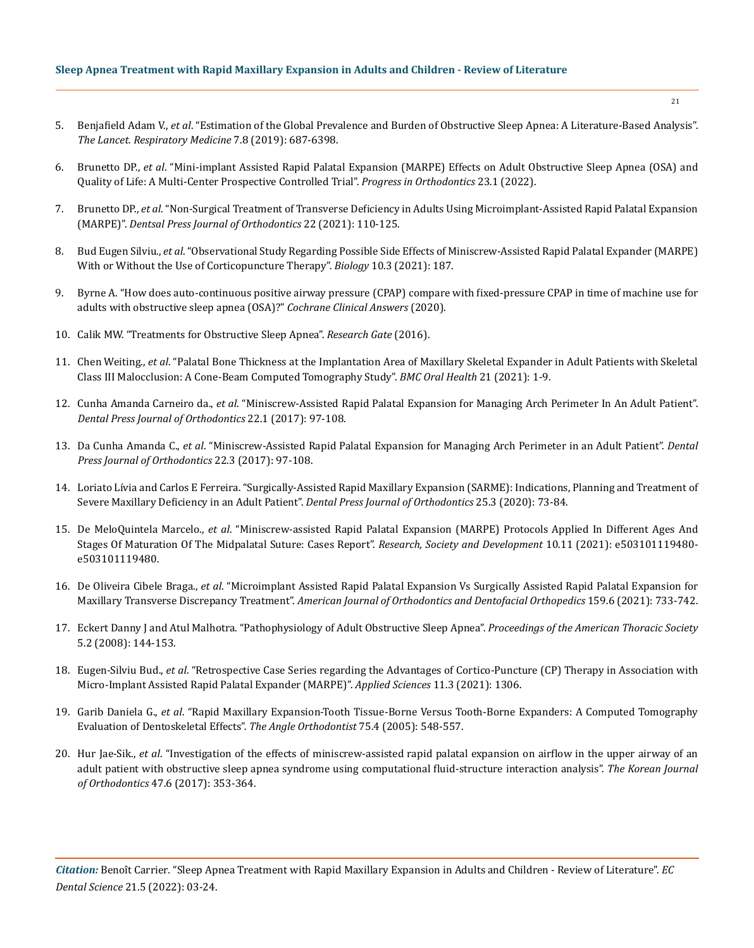- 5. Benjafield Adam V., *et al*[. "Estimation of the Global Prevalence and Burden of Obstructive Sleep Apnea: A Literature-Based Analysis".](https://pubmed.ncbi.nlm.nih.gov/31300334/)  *[The Lancet. Respiratory Medicine](https://pubmed.ncbi.nlm.nih.gov/31300334/)* 7.8 (2019): 687-6398.
- 6. Brunetto DP., *et al*[. "Mini-implant Assisted Rapid Palatal Expansion \(MARPE\) Effects on Adult Obstructive Sleep Apnea \(OSA\) and](https://progressinorthodontics.springeropen.com/articles/10.1186/s40510-021-00397-x)  [Quality of Life: A Multi-Center Prospective Controlled Trial".](https://progressinorthodontics.springeropen.com/articles/10.1186/s40510-021-00397-x) *Progress in Orthodontics* 23.1 (2022).
- 7. Brunetto DP., *et al*[. "Non-Surgical Treatment of Transverse Deficiency in Adults Using Microimplant-Assisted Rapid Palatal Expansion](https://pubmed.ncbi.nlm.nih.gov/28444019/)  (MARPE)". *[Dentsal Press Journal of Orthodontics](https://pubmed.ncbi.nlm.nih.gov/28444019/)* 22 (2021): 110-125.
- 8. Bud Eugen Silviu., *et al*[. "Observational Study Regarding Possible Side Effects of Miniscrew-Assisted Rapid Palatal Expander \(MARPE\)](https://pubmed.ncbi.nlm.nih.gov/33802266/)  [With or Without the Use of Corticopuncture Therapy".](https://pubmed.ncbi.nlm.nih.gov/33802266/) *Biology* 10.3 (2021): 187.
- 9. [Byrne A. "How does auto-continuous positive airway pressure \(CPAP\) compare with fixed-pressure CPAP in time of machine use for](https://www.researchgate.net/publication/340878984_How_does_auto-continuous_positive_airway_pressure_CPAP_compare_with_fixed-pressure_CPAP_in_time_of_machine_use_for_adults_with_obstructive_sleep_apnea_OSA)  [adults with obstructive sleep apnea \(OSA\)?"](https://www.researchgate.net/publication/340878984_How_does_auto-continuous_positive_airway_pressure_CPAP_compare_with_fixed-pressure_CPAP_in_time_of_machine_use_for_adults_with_obstructive_sleep_apnea_OSA) *Cochrane Clinical Answers* (2020).
- 10. [Calik MW. "Treatments for Obstructive Sleep Apnea".](https://pubmed.ncbi.nlm.nih.gov/27134515/) *Research Gate* (2016).
- 11. Chen Weiting., *et al*[. "Palatal Bone Thickness at the Implantation Area of Maxillary Skeletal Expander in Adult Patients with Skeletal](https://bmcoralhealth.biomedcentral.com/articles/10.1186/s12903-021-01489-0)  [Class III Malocclusion: A Cone-Beam Computed Tomography Study".](https://bmcoralhealth.biomedcentral.com/articles/10.1186/s12903-021-01489-0) *BMC Oral Health* 21 (2021): 1-9.
- 12. Cunha Amanda Carneiro da., *et al*[. "Miniscrew-Assisted Rapid Palatal Expansion for Managing Arch Perimeter In An Adult Patient".](https://pubmed.ncbi.nlm.nih.gov/28746493/)  *[Dental Press Journal of Orthodontics](https://pubmed.ncbi.nlm.nih.gov/28746493/)* 22.1 (2017): 97-108.
- 13. Da Cunha Amanda C., *et al*[. "Miniscrew-Assisted Rapid Palatal Expansion for Managing Arch Perimeter in an Adult Patient".](https://pubmed.ncbi.nlm.nih.gov/28746493/) *Dental [Press Journal of Orthodontics](https://pubmed.ncbi.nlm.nih.gov/28746493/)* 22.3 (2017): 97-108.
- 14. [Loriato Lívia and Carlos E Ferreira. "Surgically-Assisted Rapid Maxillary Expansion \(SARME\): Indications, Planning and Treatment of](https://www.researchgate.net/publication/343344911_Surgically-assisted_rapid_maxillary_expansion_SARME_indications_planning_and_treatment_of_severe_maxillary_deficiency_in_an_adult_patient)  [Severe Maxillary Deficiency in an Adult Patient".](https://www.researchgate.net/publication/343344911_Surgically-assisted_rapid_maxillary_expansion_SARME_indications_planning_and_treatment_of_severe_maxillary_deficiency_in_an_adult_patient) *Dental Press Journal of Orthodontics* 25.3 (2020): 73-84.
- 15. De MeloQuintela Marcelo., *et al*[. "Miniscrew-assisted Rapid Palatal Expansion \(MARPE\) Protocols Applied In Different Ages And](https://rsdjournal.org/index.php/rsd/article/view/19480)  [Stages Of Maturation Of The Midpalatal Suture: Cases Report".](https://rsdjournal.org/index.php/rsd/article/view/19480) *Research, Society and Development* 10.11 (2021): e503101119480 [e503101119480.](https://rsdjournal.org/index.php/rsd/article/view/19480)
- 16. De Oliveira Cibele Braga., *et al*[. "Microimplant Assisted Rapid Palatal Expansion Vs Surgically Assisted Rapid Palatal Expansion for](https://pubmed.ncbi.nlm.nih.gov/33931257/)  Maxillary Transverse Discrepancy Treatment". *[American Journal of Orthodontics and Dentofacial Orthopedics](https://pubmed.ncbi.nlm.nih.gov/33931257/)* 159.6 (2021): 733-742.
- 17. [Eckert Danny J and Atul Malhotra. "Pathophysiology of Adult Obstructive Sleep Apnea".](https://www.ncbi.nlm.nih.gov/pmc/articles/PMC2628457/) *Proceedings of the American Thoracic Society*  [5.2 \(2008\): 144-153.](https://www.ncbi.nlm.nih.gov/pmc/articles/PMC2628457/)
- 18. Eugen-Silviu Bud., *et al*[. "Retrospective Case Series regarding the Advantages of Cortico-Puncture \(CP\) Therapy in Association with](https://www.researchgate.net/publication/348936169_Retrospective_Case_Series_Regarding_the_Advantages_of_Cortico-Puncture_CP_Therapy_in_Association_with_Micro-Implant_Assisted_Rapid_Palatal_Expander_MARPE)  [Micro-Implant Assisted Rapid Palatal Expander \(MARPE\)".](https://www.researchgate.net/publication/348936169_Retrospective_Case_Series_Regarding_the_Advantages_of_Cortico-Puncture_CP_Therapy_in_Association_with_Micro-Implant_Assisted_Rapid_Palatal_Expander_MARPE) *Applied Sciences* 11.3 (2021): 1306.
- 19. Garib Daniela G., *et al*[. "Rapid Maxillary Expansion-Tooth Tissue-Borne Versus Tooth-Borne Expanders: A Computed Tomography](https://pubmed.ncbi.nlm.nih.gov/16097223/)  [Evaluation of Dentoskeletal Effects".](https://pubmed.ncbi.nlm.nih.gov/16097223/) *The Angle Orthodontist* 75.4 (2005): 548-557.
- 20. Hur Jae-Sik., *et al*[. "Investigation of the effects of miniscrew-assisted rapid palatal expansion on airflow in the upper airway of an](https://pubmed.ncbi.nlm.nih.gov/29090123/)  [adult patient with obstructive sleep apnea syndrome using computational fluid-structure interaction analysis".](https://pubmed.ncbi.nlm.nih.gov/29090123/) *The Korean Journal of Orthodontics* [47.6 \(2017\): 353-364.](https://pubmed.ncbi.nlm.nih.gov/29090123/)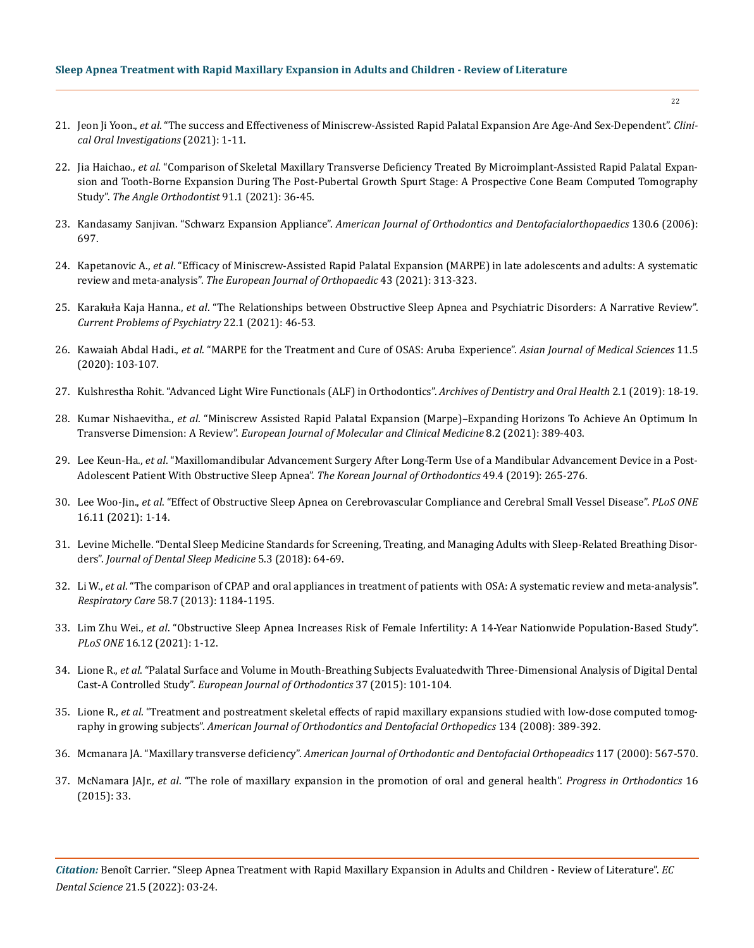- 21. Jeon Ji Yoon., *et al*[. "The success and Effectiveness of Miniscrew-Assisted Rapid Palatal Expansion Are Age-And Sex-Dependent".](https://link.springer.com/article/10.1007/s00784-021-04281-0) *Clini[cal Oral Investigations](https://link.springer.com/article/10.1007/s00784-021-04281-0)* (2021): 1-11.
- 22. Jia Haichao., *et al*[. "Comparison of Skeletal Maxillary Transverse Deficiency Treated By Microimplant-Assisted Rapid Palatal Expan](https://pubmed.ncbi.nlm.nih.gov/33289835/)[sion and Tooth-Borne Expansion During The Post-Pubertal Growth Spurt Stage: A Prospective Cone Beam Computed Tomography](https://pubmed.ncbi.nlm.nih.gov/33289835/)  Study". *[The Angle Orthodontist](https://pubmed.ncbi.nlm.nih.gov/33289835/)* 91.1 (2021): 36-45.
- 23. Kandasamy Sanjivan. "Schwarz Expansion Appliance". *[American Journal of Orthodontics and Dentofacialorthopaedics](https://pubmed.ncbi.nlm.nih.gov/17169724/)* 130.6 (2006): [697.](https://pubmed.ncbi.nlm.nih.gov/17169724/)
- 24. Kapetanovic A., *et al*[. "Efficacy of Miniscrew-Assisted Rapid Palatal Expansion \(MARPE\) in late adolescents and adults: A systematic](https://pubmed.ncbi.nlm.nih.gov/33882127/)  review and meta-analysis". *[The European Journal of Orthopaedic](https://pubmed.ncbi.nlm.nih.gov/33882127/)* 43 (2021): 313-323.
- 25. Karakuła Kaja Hanna., *et al*[. "The Relationships between Obstructive Sleep Apnea and Psychiatric Disorders: A Narrative Review".](https://www.researchgate.net/publication/355026805_The_relationships_between_obstructive_sleep_apnea_and_psychiatric_disorders_a_narrative_review)  *[Current Problems of Psychiatry](https://www.researchgate.net/publication/355026805_The_relationships_between_obstructive_sleep_apnea_and_psychiatric_disorders_a_narrative_review)* 22.1 (2021): 46-53.
- 26. Kawaiah Abdal Hadi., *et al*[. "MARPE for the Treatment and Cure of OSAS: Aruba Experience".](https://www.nepjol.info/index.php/AJMS/article/view/27803) *Asian Journal of Medical Sciences* 11.5 [\(2020\): 103-107.](https://www.nepjol.info/index.php/AJMS/article/view/27803)
- 27. [Kulshrestha Rohit. "Advanced Light Wire Functionals \(ALF\) in Orthodontics".](https://wincdental.com/our-specialties/alf/) *Archives of Dentistry and Oral Health* 2.1 (2019): 18-19.
- 28. Kumar Nishaevitha., *et al*[. "Miniscrew Assisted Rapid Palatal Expansion \(Marpe\)–Expanding Horizons To Achieve An Optimum In](https://ejmcm.com/article_7313.html)  Transverse Dimension: A Review". *[European Journal of Molecular and Clinical Medicine](https://ejmcm.com/article_7313.html)* 8.2 (2021): 389-403.
- 29. Lee Keun-Ha., *et al*[. "Maxillomandibular Advancement Surgery After Long-Term Use of a Mandibular Advancement Device in a Post-](https://pubmed.ncbi.nlm.nih.gov/31367581/)[Adolescent Patient With Obstructive Sleep Apnea".](https://pubmed.ncbi.nlm.nih.gov/31367581/) *The Korean Journal of Orthodontics* 49.4 (2019): 265-276.
- 30. Lee Woo-Jin., *et al*[. "Effect of Obstructive Sleep Apnea on Cerebrovascular Compliance and Cerebral Small Vessel Disease".](https://www.ncbi.nlm.nih.gov/pmc/articles/PMC8589195/) *PLoS ONE* [16.11 \(2021\): 1-14.](https://www.ncbi.nlm.nih.gov/pmc/articles/PMC8589195/)
- 31. [Levine Michelle. "Dental Sleep Medicine Standards for Screening, Treating, and Managing Adults with Sleep-Related Breathing Disor](https://aadsm.org/docs/jdsm.7.10.sa1.pdf)ders". *[Journal of Dental Sleep Medicine](https://aadsm.org/docs/jdsm.7.10.sa1.pdf)* 5.3 (2018): 64-69.
- 32. Li W., *et al*[. "The comparison of CPAP and oral appliances in treatment of patients with OSA: A systematic review and meta-analysis".](https://pubmed.ncbi.nlm.nih.gov/23287015/)  *Respiratory Care* [58.7 \(2013\): 1184-1195.](https://pubmed.ncbi.nlm.nih.gov/23287015/)
- 33. Lim Zhu Wei., *et al*[. "Obstructive Sleep Apnea Increases Risk of Female Infertility: A 14-Year Nationwide Population-Based Study".](https://pubmed.ncbi.nlm.nih.gov/34910749/)  *PLoS ONE* [16.12 \(2021\): 1-12.](https://pubmed.ncbi.nlm.nih.gov/34910749/)
- 34. Lione R., *et al*[. "Palatal Surface and Volume in Mouth-Breathing Subjects Evaluatedwith Three-Dimensional Analysis of Digital Dental](https://pubmed.ncbi.nlm.nih.gov/25016579/)  Cast-A Controlled Study". *[European Journal of Orthodontics](https://pubmed.ncbi.nlm.nih.gov/25016579/)* 37 (2015): 101-104.
- 35. Lione R., *et al*[. "Treatment and postreatment skeletal effects of rapid maxillary expansions studied with low-dose computed tomog](https://pubmed.ncbi.nlm.nih.gov/18774085/)raphy in growing subjects". *[American Journal of Orthodontics and Dentofacial Orthopedics](https://pubmed.ncbi.nlm.nih.gov/18774085/)* 134 (2008): 389-392.
- 36. Mcmanara JA. "Maxillary transverse deficiency". *[American Journal of Orthodontic and Dentofacial Orthopeadics](https://pubmed.ncbi.nlm.nih.gov/10799117/)* 117 (2000): 567-570.
- 37. McNamara JAJr., *et al*[. "The role of maxillary expansion in the promotion of oral and general health".](https://www.ncbi.nlm.nih.gov/pmc/articles/PMC4596248/) *Progress in Orthodontics* 16 [\(2015\): 33.](https://www.ncbi.nlm.nih.gov/pmc/articles/PMC4596248/)

*Citation:* Benoît Carrier*.* "Sleep Apnea Treatment with Rapid Maxillary Expansion in Adults and Children - Review of Literature". *EC Dental Science* 21.5 (2022): 03-24.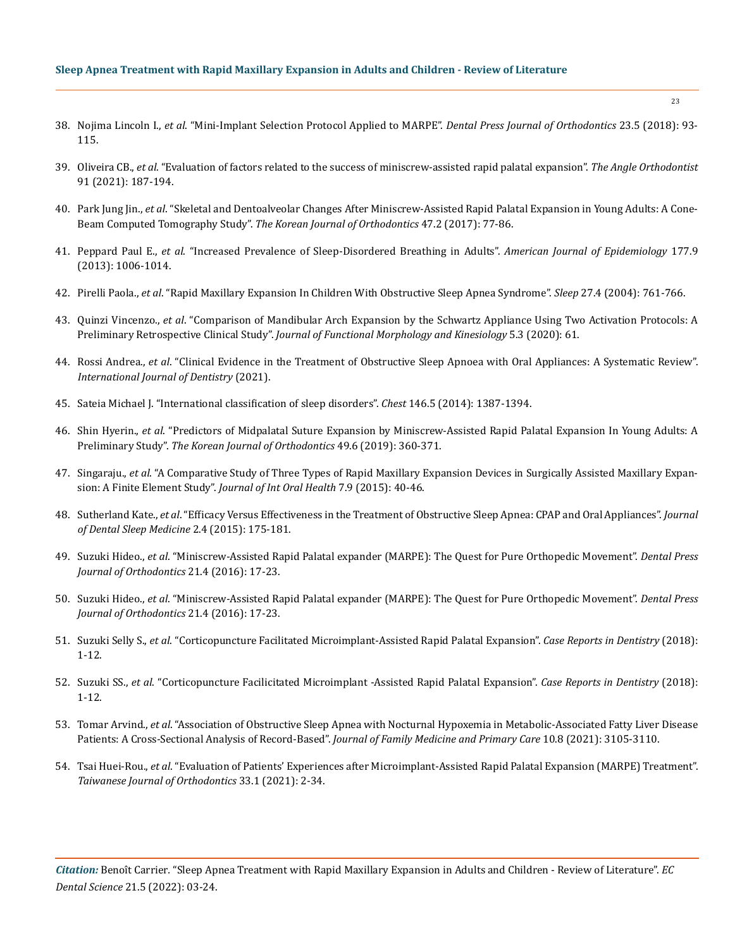## **Sleep Apnea Treatment with Rapid Maxillary Expansion in Adults and Children - Review of Literature**

- 38. Nojima Lincoln I., *et al*[. "Mini-Implant Selection Protocol Applied to MARPE".](https://www.ncbi.nlm.nih.gov/pmc/articles/PMC6266324/) *Dental Press Journal of Orthodontics* 23.5 (2018): 93- [115.](https://www.ncbi.nlm.nih.gov/pmc/articles/PMC6266324/)
- 39. Oliveira CB., *et al*[. "Evaluation of factors related to the success of miniscrew-assisted rapid palatal expansion".](https://pubmed.ncbi.nlm.nih.gov/33351888/) *The Angle Orthodontist*  [91 \(2021\): 187-194.](https://pubmed.ncbi.nlm.nih.gov/33351888/)
- 40. Park Jung Jin., *et al*[. "Skeletal and Dentoalveolar Changes After Miniscrew-Assisted Rapid Palatal Expansion in Young Adults: A Cone-](https://pubmed.ncbi.nlm.nih.gov/28337417/)Beam Computed Tomography Study". *[The Korean Journal of Orthodontics](https://pubmed.ncbi.nlm.nih.gov/28337417/)* 47.2 (2017): 77-86.
- 41. Peppard Paul E., *et al*[. "Increased Prevalence of Sleep-Disordered Breathing in Adults".](https://pubmed.ncbi.nlm.nih.gov/23589584/) *American Journal of Epidemiology* 177.9 [\(2013\): 1006-1014.](https://pubmed.ncbi.nlm.nih.gov/23589584/)
- 42. Pirelli Paola., *et al*[. "Rapid Maxillary Expansion In Children With Obstructive Sleep Apnea Syndrome".](https://pubmed.ncbi.nlm.nih.gov/17239661/) *Sleep* 27.4 (2004): 761-766.
- 43. Quinzi Vincenzo., *et al*[. "Comparison of Mandibular Arch Expansion by the Schwartz Appliance Using Two Activation Protocols: A](https://www.mdpi.com/2411-5142/5/3/61)  Preliminary Retrospective Clinical Study". *[Journal of Functional Morphology and Kinesiology](https://www.mdpi.com/2411-5142/5/3/61)* 5.3 (2020): 61.
- 44. Rossi Andrea., *et al*[. "Clinical Evidence in the Treatment of Obstructive Sleep Apnoea with Oral Appliances: A Systematic Review".](https://www.hindawi.com/journals/ijd/2021/6676158/)  *[International Journal of Dentistry](https://www.hindawi.com/journals/ijd/2021/6676158/)* (2021).
- 45. [Sateia Michael J. "International classification of sleep disorders".](https://medicinainternaelsalvador.com/wp-content/uploads/2017/03/internation-classification-ICSD-III-beta.pdf) *Chest* 146.5 (2014): 1387-1394.
- 46. Shin Hyerin., *et al*[. "Predictors of Midpalatal Suture Expansion by Miniscrew-Assisted Rapid Palatal Expansion In Young Adults: A](https://www.ncbi.nlm.nih.gov/pmc/articles/PMC6883215/)  Preliminary Study". *[The Korean Journal of Orthodontics](https://www.ncbi.nlm.nih.gov/pmc/articles/PMC6883215/)* 49.6 (2019): 360-371.
- 47. Singaraju., *et al*[. "A Comparative Study of Three Types of Rapid Maxillary Expansion Devices in Surgically Assisted Maxillary Expan](https://www.ncbi.nlm.nih.gov/pmc/articles/PMC4589717/)sion: A Finite Element Study". *[Journal of Int Oral Health](https://www.ncbi.nlm.nih.gov/pmc/articles/PMC4589717/)* 7.9 (2015): 40-46.
- 48. Sutherland Kate., *et al*[. "Efficacy Versus Effectiveness in the Treatment of Obstructive Sleep Apnea: CPAP and Oral Appliances".](https://www.researchgate.net/publication/283241762_Efficacy_versus_Effectiveness_in_the_Treatment_of_Obstructive_Sleep_Apnea_CPAP_and_Oral_Appliances) *Journal [of Dental Sleep Medicine](https://www.researchgate.net/publication/283241762_Efficacy_versus_Effectiveness_in_the_Treatment_of_Obstructive_Sleep_Apnea_CPAP_and_Oral_Appliances)* 2.4 (2015): 175-181.
- 49. Suzuki Hideo., *et al*[. "Miniscrew-Assisted Rapid Palatal expander \(MARPE\): The Quest for Pure Orthopedic Movement".](https://pubmed.ncbi.nlm.nih.gov/27653260/) *Dental Press [Journal of Orthodontics](https://pubmed.ncbi.nlm.nih.gov/27653260/)* 21.4 (2016): 17-23.
- 50. Suzuki Hideo., *et al*[. "Miniscrew-Assisted Rapid Palatal expander \(MARPE\): The Quest for Pure Orthopedic Movement".](https://pubmed.ncbi.nlm.nih.gov/27653260/) *Dental Press [Journal of Orthodontics](https://pubmed.ncbi.nlm.nih.gov/27653260/)* 21.4 (2016): 17-23.
- 51. Suzuki Selly S., *et al*[. "Corticopuncture Facilitated Microimplant-Assisted Rapid Palatal Expansion".](https://www.hindawi.com/journals/crid/2018/1392895/) *Case Reports in Dentistry* (2018): [1-12.](https://www.hindawi.com/journals/crid/2018/1392895/)
- 52. Suzuki SS., *et al*[. "Corticopuncture Facilicitated Microimplant -Assisted Rapid Palatal Expansion".](https://www.hindawi.com/journals/crid/2018/1392895/?utm_source=google&utm_medium=cpc&utm_campaign=HDW_MRKT_GBL_SUB_ADWO_PAI_DYNA_SPEC_X_X0000_Feb2022&gclid=CjwKCAjwrqqSBhBbEiwAlQeqGnXJGcOdmJ5UmZ_4QFo4_i86SnzwRm7CibEepLUplSfB3e_UwSAMxBoC10EQAvD_BwE) *Case Reports in Dentistry* (2018): [1-12.](https://www.hindawi.com/journals/crid/2018/1392895/?utm_source=google&utm_medium=cpc&utm_campaign=HDW_MRKT_GBL_SUB_ADWO_PAI_DYNA_SPEC_X_X0000_Feb2022&gclid=CjwKCAjwrqqSBhBbEiwAlQeqGnXJGcOdmJ5UmZ_4QFo4_i86SnzwRm7CibEepLUplSfB3e_UwSAMxBoC10EQAvD_BwE)
- 53. Tomar Arvind., *et al*[. "Association of Obstructive Sleep Apnea with Nocturnal Hypoxemia in Metabolic-Associated Fatty Liver Disease](https://pubmed.ncbi.nlm.nih.gov/34660454/)  Patients: A Cross-Sectional Analysis of Record-Based". *[Journal of Family Medicine and Primary Care](https://pubmed.ncbi.nlm.nih.gov/34660454/)* 10.8 (2021): 3105-3110.
- 54. Tsai Huei-Rou., *et al*[. "Evaluation of Patients' Experiences after Microimplant-Assisted Rapid Palatal Expansion \(MARPE\) Treatment".](https://www.tjo.org.tw/cgi/viewcontent.cgi?article=1098&context=tjo)  *[Taiwanese Journal of Orthodontics](https://www.tjo.org.tw/cgi/viewcontent.cgi?article=1098&context=tjo)* 33.1 (2021): 2-34.